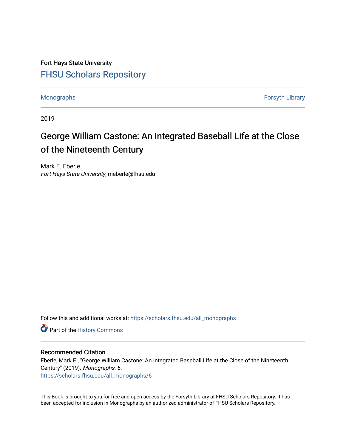Fort Hays State University [FHSU Scholars Repository](https://scholars.fhsu.edu/) 

[Monographs](https://scholars.fhsu.edu/all_monographs) [Forsyth Library](https://scholars.fhsu.edu/library) 

2019

## George William Castone: An Integrated Baseball Life at the Close of the Nineteenth Century

Mark E. Eberle Fort Hays State University, meberle@fhsu.edu

Follow this and additional works at: [https://scholars.fhsu.edu/all\\_monographs](https://scholars.fhsu.edu/all_monographs?utm_source=scholars.fhsu.edu%2Fall_monographs%2F6&utm_medium=PDF&utm_campaign=PDFCoverPages) 

Part of the [History Commons](http://network.bepress.com/hgg/discipline/489?utm_source=scholars.fhsu.edu%2Fall_monographs%2F6&utm_medium=PDF&utm_campaign=PDFCoverPages) 

#### Recommended Citation

Eberle, Mark E., "George William Castone: An Integrated Baseball Life at the Close of the Nineteenth Century" (2019). Monographs. 6. [https://scholars.fhsu.edu/all\\_monographs/6](https://scholars.fhsu.edu/all_monographs/6?utm_source=scholars.fhsu.edu%2Fall_monographs%2F6&utm_medium=PDF&utm_campaign=PDFCoverPages) 

This Book is brought to you for free and open access by the Forsyth Library at FHSU Scholars Repository. It has been accepted for inclusion in Monographs by an authorized administrator of FHSU Scholars Repository.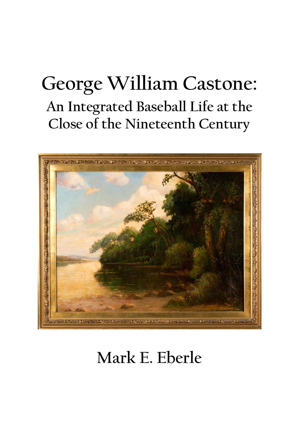# **George William Castone: An Integrated Baseball Life at the Close of the Nineteenth Century**



## **Mark E. Eberle**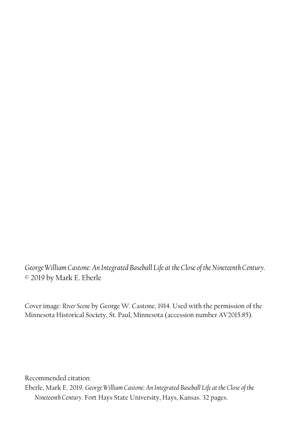*George William Castone: An Integrated Baseball Life at the Close of the Nineteenth Century.* © 2019 by Mark E. Eberle

Cover image: *River Scene* by George W. Castone, 1914. Used with the permission of the Minnesota Historical Society, St. Paul, Minnesota (accession number AV2015.85).

Recommended citation:

Eberle, Mark E. 2019. *George William Castone: An Integrated Baseball Life at the Close of the Nineteenth Century*. Fort Hays State University, Hays, Kansas. 32 pages.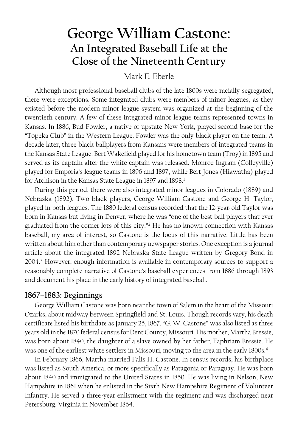### **George William Castone: An Integrated Baseball Life at the Close of the Nineteenth Century**

#### Mark E. Eberle

Although most professional baseball clubs of the late 1800s were racially segregated, there were exceptions. Some integrated clubs were members of minor leagues, as they existed before the modern minor league system was organized at the beginning of the twentieth century. A few of these integrated minor league teams represented towns in Kansas. In 1886, Bud Fowler, a native of upstate New York, played second base for the "Topeka Club" in the Western League. Fowler was the only black player on the team. A decade later, three black ballplayers from Kansans were members of integrated teams in the Kansas State League. Bert Wakefield played for his hometown team (Troy) in 1895 and served as its captain after the white captain was released. Monroe Ingram (Coffeyville) played for Emporia's league teams in 1896 and 1897, while Bert Jones (Hiawatha) played for Atchison in the Kansas State League in 1897 and 1898. 1

During this period, there were also integrated minor leagues in Colorado (1889) and Nebraska (1892). Two black players, George William Castone and George H. Taylor, played in both leagues. The 1880 federal census recorded that the 12-year-old Taylor was born in Kansas but living in Denver, where he was "one of the best ball players that ever graduated from the corner lots of this city." <sup>2</sup> He has no known connection with Kansas baseball, my area of interest, so Castone is the focus of this narrative. Little has been written about him other than contemporary newspaper stories. One exception is a journal article about the integrated 1892 Nebraska State League written by Gregory Bond in 2004.<sup>3</sup> However, enough information is available in contemporary sources to support a reasonably complete narrative of Castone's baseball experiences from 1886 through 1893 and document his place in the early history of integrated baseball.

#### **1867–1883: Beginnings**

George William Castone was born near the town of Salem in the heart of the Missouri Ozarks, about midway between Springfield and St. Louis. Though records vary, his death certificate listed his birthdate as January 25, 1867. "G. W. Castone" was also listed as three years old in the 1870 federal census for Dent County, Missouri. His mother, Martha Bressie, was born about 1840, the daughter of a slave owned by her father, Eaphriam Bressie. He was one of the earliest white settlers in Missouri, moving to the area in the early 1800s. 4

In February 1866, Martha married Falis H. Castone. In census records, his birthplace was listed as South America, or more specifically as Patagonia or Paraguay. He was born about 1840 and immigrated to the United States in 1850. He was living in Nelson, New Hampshire in 1861 when he enlisted in the Sixth New Hampshire Regiment of Volunteer Infantry. He served a three-year enlistment with the regiment and was discharged near Petersburg, Virginia in November 1864.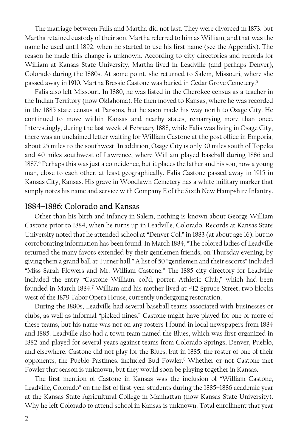The marriage between Falis and Martha did not last. They were divorced in 1873, but Martha retained custody of their son. Martha referred to him as William, and that was the name he used until 1892, when he started to use his first name (see the Appendix). The reason he made this change is unknown. According to city directories and records for William at Kansas State University, Martha lived in Leadville (and perhaps Denver), Colorado during the 1880s. At some point, she returned to Salem, Missouri, where she passed away in 1910. Martha Bressie Castone was buried in Cedar Grove Cemetery. 5

Falis also left Missouri. In 1880, he was listed in the Cherokee census as a teacher in the Indian Territory (now Oklahoma). He then moved to Kansas, where he was recorded in the 1885 state census at Parsons, but he soon made his way north to Osage City. He continued to move within Kansas and nearby states, remarrying more than once. Interestingly, during the last week of February 1888, while Falis was living in Osage City, there was an unclaimed letter waiting for William Castone at the post office in Emporia, about 25 miles to the southwest. In addition, Osage City is only 30 miles south of Topeka and 40 miles southwest of Lawrence, where William played baseball during 1886 and 1887.<sup>6</sup> Perhaps this was just a coincidence, but it places the father and his son, now a young man, close to each other, at least geographically. Falis Castone passed away in 1915 in Kansas City, Kansas. His grave in Woodlawn Cemetery has a white military marker that simply notes his name and service with Company E of the Sixth New Hampshire Infantry.

#### **1884–1886: Colorado and Kansas**

Other than his birth and infancy in Salem, nothing is known about George William Castone prior to 1884, when he turns up in Leadville, Colorado. Records at Kansas State University noted that he attended school at "Denver Col." in 1883 (at about age 16), but no corroborating information has been found. In March 1884, "The colored ladies of Leadville returned the many favors extended by their gentlemen friends, on Thursday evening, by giving them a grand ball at Turner hall." A list of 50 "gentlemen and their escorts" included "Miss Sarah Flowers and Mr. William Castone." The 1885 city directory for Leadville included the entry "Castone William, col'd, porter, Athletic Club," which had been founded in March 1884.<sup>7</sup> William and his mother lived at 412 Spruce Street, two blocks west of the 1879 Tabor Opera House, currently undergoing restoration.

During the 1880s, Leadville had several baseball teams associated with businesses or clubs, as well as informal "picked nines." Castone might have played for one or more of these teams, but his name was not on any rosters I found in local newspapers from 1884 and 1885. Leadville also had a town team named the Blues, which was first organized in 1882 and played for several years against teams from Colorado Springs, Denver, Pueblo, and elsewhere. Castone did not play for the Blues, but in 1885, the roster of one of their opponents, the Pueblo Pastimes, included Bud Fowler.<sup>8</sup> Whether or not Castone met Fowler that season is unknown, but they would soon be playing together in Kansas.

The first mention of Castone in Kansas was the inclusion of "William Castone, Leadville, Colorado" on the list of first-year students during the 1885–1886 academic year at the Kansas State Agricultural College in Manhattan (now Kansas State University). Why he left Colorado to attend school in Kansas is unknown. Total enrollment that year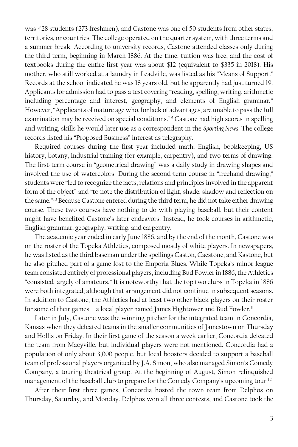was 428 students (273 freshmen), and Castone was one of 50 students from other states, territories, or countries. The college operated on the quarter system, with three terms and a summer break. According to university records, Castone attended classes only during the third term, beginning in March 1886. At the time, tuition was free, and the cost of textbooks during the entire first year was about \$12 (equivalent to \$335 in 2018). His mother, who still worked at a laundry in Leadville, was listed as his "Means of Support." Records at the school indicated he was 18 years old, but he apparently had just turned 19. Applicants for admission had to pass a test covering "reading, spelling, writing, arithmetic including percentage and interest, geography, and elements of English grammar." However, "Applicants of mature age who, for lack of advantages, are unable to pass the full examination may be received on special conditions."<sup>9</sup> Castone had high scores in spelling and writing, skills he would later use as a correspondent in the *Sporting News*. The college records listed his "Proposed Business" interest as telegraphy.

Required courses during the first year included math, English, bookkeeping, US history, botany, industrial training (for example, carpentry), and two terms of drawing. The first-term course in "geometrical drawing" was a daily study in drawing shapes and involved the use of watercolors. During the second-term course in "freehand drawing," students were "led to recognize the facts, relations and principles involved in the apparent form of the object" and "to note the distribution of light, shade, shadow and reflection on the same."<sup>10</sup> Because Castone entered during the third term, he did not take either drawing course. These two courses have nothing to do with playing baseball, but their content might have benefited Castone's later endeavors. Instead, he took courses in arithmetic, English grammar, geography, writing, and carpentry.

The academic year ended in early June 1886, and by the end of the month, Castone was on the roster of the Topeka Athletics, composed mostly of white players. In newspapers, he waslisted as the third baseman under the spellings Caston, Caestone, and Kastone, but he also pitched part of a game lost to the Emporia Blues. While Topeka's minor league team consisted entirely of professional players, including Bud Fowler in 1886, the Athletics "consisted largely of amateurs." It is noteworthy that the top two clubs in Topeka in 1886 were both integrated, although that arrangement did not continue in subsequent seasons. In addition to Castone, the Athletics had at least two other black players on their roster for some of their games—a local player named James Hightower and Bud Fowler. 11

Later in July, Castone was the winning pitcher for the integrated team in Concordia, Kansas when they defeated teams in the smaller communities of Jamestown on Thursday and Hollis on Friday. In their first game of the season a week earlier, Concordia defeated the team from Macyville, but individual players were not mentioned. Concordia had a population of only about 3,000 people, but local boosters decided to support a baseball team of professional players organized by J.A. Simon, who also managed Simon's Comedy Company, a touring theatrical group. At the beginning of August, Simon relinquished management of the baseball club to prepare for the Comedy Company's upcoming tour.<sup>12</sup>

After their first three games, Concordia hosted the town team from Delphos on Thursday, Saturday, and Monday. Delphos won all three contests, and Castone took the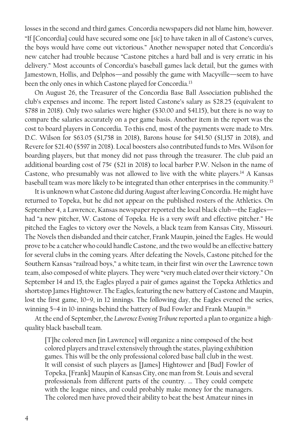losses in the second and third games. Concordia newspapers did not blame him, however. "If [Concordia] could have secured some one [*sic*] to have taken in all of Castone's curves, the boys would have come out victorious." Another newspaper noted that Concordia's new catcher had trouble because "Castone pitches a hard ball and is very erratic in his delivery." Most accounts of Concordia's baseball games lack detail, but the games with Jamestown, Hollis, and Delphos—and possibly the game with Macyville—seem to have been the only ones in which Castone played for Concordia. 13

On August 26, the Treasurer of the Concordia Base Ball Association published the club's expenses and income. The report listed Castone's salary as \$28.25 (equivalent to \$788 in 2018). Only two salaries were higher (\$30.00 and \$41.15), but there is no way to compare the salaries accurately on a per game basis. Another item in the report was the cost to board players in Concordia. To this end, most of the payments were made to Mrs. D.C. Wilson for \$63.05 (\$1,758 in 2018), Barons house for \$41.50 (\$1,157 in 2018), and Revere for \$21.40 (\$597 in 2018). Local boosters also contributed funds to Mrs. Wilson for boarding players, but that money did not pass through the treasurer. The club paid an additional boarding cost of 75¢ (\$21 in 2018) to local barber P.W. Nelson in the name of Castone, who presumably was not allowed to live with the white players. <sup>14</sup> A Kansas baseball team was more likely to be integrated than other enterprises in the community.<sup>15</sup>

It is unknown what Castone did during August after leaving Concordia. He might have returned to Topeka, but he did not appear on the published rosters of the Athletics. On September 4, a Lawrence, Kansas newspaper reported the local black club—the Eagles had "a new pitcher, W. Castone of Topeka. He is a very swift and effective pitcher." He pitched the Eagles to victory over the Novels, a black team from Kansas City, Missouri. The Novels then disbanded and their catcher, Frank Maupin, joined the Eagles. He would prove to be a catcher who could handle Castone, and the two would be an effective battery for several clubs in the coming years. After defeating the Novels, Castone pitched for the Southern Kansas "railroad boys," a white team, in their first win over the Lawrence town team, also composed of white players. They were "very much elated over their victory." On September 14 and 15, the Eagles played a pair of games against the Topeka Athletics and shortstop James Hightower. The Eagles, featuring the new battery of Castone and Maupin, lost the first game, 10–9, in 12 innings. The following day, the Eagles evened the series, winning 5-4 in 10-innings behind the battery of Bud Fowler and Frank Maupin.<sup>16</sup>

At the end of September, the *Lawrence Evening Tribune*reported a plan to organize a highquality black baseball team.

[T]he colored men [in Lawrence] will organize a nine composed of the best colored players and travel extensively through the states, playing exhibition games. This will be the only professional colored base ball club in the west. It will consist of such players as [James] Hightower and [Bud] Fowler of Topeka, [Frank] Maupin of Kansas City, one man from St. Louis and several professionals from different parts of the country. … They could compete with the league nines, and could probably make money for the managers. The colored men have proved their ability to beat the best Amateur nines in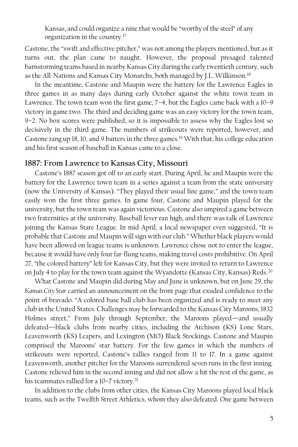Kansas, and could organize a nine that would be "worthy of the steel" of any organization in the country.<sup>17</sup>

Castone, the "swift and effective pitcher," was not among the players mentioned, but as it turns out, the plan came to naught. However, the proposal presaged talented barnstorming teams based in nearby Kansas City during the early twentieth century, such as the All-Nations and Kansas City Monarchs, both managed by J.L. Wilkinson.<sup>18</sup>

In the meantime, Castone and Maupin were the battery for the Lawrence Eagles in three games in as many days during early October against the white town team in Lawrence. The town team won the first game, 7–4, but the Eagles came back with a 10–9 victory in game two. The third and deciding game was an easy victory for the town team, 9–2. No box scores were published, so it is impossible to assess why the Eagles lost so decisively in the third game. The numbers of strikeouts were reported, however, and Castone rang up 18, 10, and 9 batters in the three games. <sup>19</sup> With that, his college education and his first season of baseball in Kansas came to a close.

#### **1887: From Lawrence to Kansas City, Missouri**

Castone's 1887 season got off to an early start. During April, he and Maupin were the battery for the Lawrence town team in a series against a team from the state university (now the University of Kansas). "They played their usual fine game," and the town team easily won the first three games. In game four, Castone and Maupin played for the university, but the town team was again victorious. Castone also umpired a game between two fraternities at the university. Baseball fever ran high, and there was talk of Lawrence joining the Kansas State League. In mid-April, a local newspaper even suggested, "It is probable that Castone and Maupin will sign with our club." Whether black players would have been allowed on league teams is unknown. Lawrence chose not to enter the league, because it would have only four far-flung teams, making travel costs prohibitive. On April 27, "the colored battery" left for Kansas City, but they were invited to return to Lawrence on July 4 to play for the town team against the Wyandotte (Kansas City, Kansas) Reds.<sup>20</sup>

What Castone and Maupin did during May and June is unknown, but on June 29, the *Kansas City Star* carried an announcement on the front page that exuded confidence to the point of bravado. "A colored base ball club has been organized and is ready to meet any club in the United States. Challenges may be forwarded to the Kansas City Maroons, 1832 Holmes street." From July through September, the Maroons played—and usually defeated—black clubs from nearby cities, including the Atchison (KS) Lone Stars, Leavenworth (KS) Leapers, and Lexington (MO) Black Stockings. Castone and Maupin comprised the Maroons' star battery. For the few games in which the numbers of strikeouts were reported, Castone's tallies ranged from 11 to 17. In a game against Leavenworth, another pitcher for the Maroons surrendered seven runs in the first inning. Castone relieved him in the second inning and did not allow a hit the rest of the game, as his teammates rallied for a 10-7 victory.<sup>21</sup>

In addition to the clubs from other cities, the Kansas City Maroons played local black teams, such as the Twelfth Street Athletics, whom they also defeated. One game between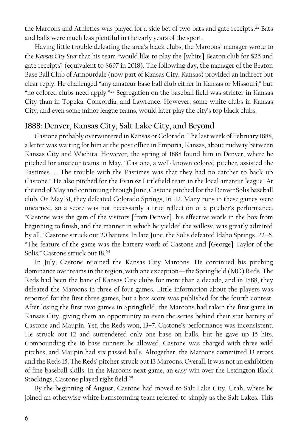the Maroons and Athletics was played for a side bet of two bats and gate receipts. <sup>22</sup> Bats and balls were much less plentiful in the early years of the sport.

Having little trouble defeating the area's black clubs, the Maroons' manager wrote to the *Kansas City Star* that his team "would like to play the [white] Beaton club for \$25 and gate receipts" (equivalent to \$697 in 2018). The following day, the manager of the Beaton Base Ball Club of Armourdale (now part of Kansas City, Kansas) provided an indirect but clear reply. He challenged "any amateur base ball club either in Kansas or Missouri," but "no colored clubs need apply."<sup>23</sup> Segregation on the baseball field was stricter in Kansas City than in Topeka, Concordia, and Lawrence. However, some white clubs in Kansas City, and even some minor league teams, would later play the city's top black clubs.

#### **1888: Denver, Kansas City, Salt Lake City, and Beyond**

Castone probably overwintered in Kansas or Colorado. The last week of February 1888, a letter was waiting for him at the post office in Emporia, Kansas, about midway between Kansas City and Wichita. However, the spring of 1888 found him in Denver, where he pitched for amateur teams in May. "Castone, a well-known colored pitcher, assisted the Pastimes. … The trouble with the Pastimes was that they had no catcher to back up Castone." He also pitched for the Evan & Littlefield team in the local amateur league. At the end of May and continuing through June, Castone pitched for the Denver Solis baseball club. On May 31, they defeated Colorado Springs, 16–12. Many runs in these games were unearned, so a score was not necessarily a true reflection of a pitcher's performance. "Castone was the gem of the visitors [from Denver], his effective work in the box from beginning to finish, and the manner in which he yielded the willow, was greatly admired by all." Castone struck out 20 batters. In late June, the Solis defeated Idaho Springs, 22–6. "The feature of the game was the battery work of Castone and [George] Taylor of the Solis." Castone struck out 18.<sup>24</sup>

In July, Castone rejoined the Kansas City Maroons. He continued his pitching dominance over teamsin the region, with one exception—the Springfield (MO) Reds. The Reds had been the bane of Kansas City clubs for more than a decade, and in 1888, they defeated the Maroons in three of four games. Little information about the players was reported for the first three games, but a box score was published for the fourth contest. After losing the first two games in Springfield, the Maroons had taken the first game in Kansas City, giving them an opportunity to even the series behind their star battery of Castone and Maupin. Yet, the Reds won, 13–7. Castone's performance was inconsistent. He struck out 12 and surrendered only one base on balls, but he gave up 15 hits. Compounding the 16 base runners he allowed, Castone was charged with three wild pitches, and Maupin had six passed balls. Altogether, the Maroons committed 13 errors and the Reds 15. The Reds' pitcher struck out 13 Maroons. Overall, it was not an exhibition of fine baseball skills. In the Maroons next game, an easy win over the Lexington Black Stockings, Castone played right field. 25

By the beginning of August, Castone had moved to Salt Lake City, Utah, where he joined an otherwise white barnstorming team referred to simply as the Salt Lakes. This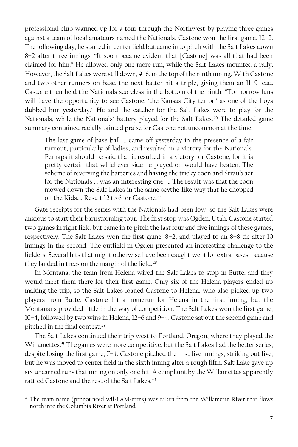professional club warmed up for a tour through the Northwest by playing three games against a team of local amateurs named the Nationals. Castone won the first game, 12–2. The following day, he started in center field but came in to pitch with the Salt Lakes down 8–2 after three innings. "It soon became evident that [Castone] was all that had been claimed for him." He allowed only one more run, while the Salt Lakes mounted a rally. However, the Salt Lakes were still down, 9–8, in the top of the ninth inning. With Castone and two other runners on base, the next batter hit a triple, giving them an 11–9 lead. Castone then held the Nationals scoreless in the bottom of the ninth. "To-morrow fans will have the opportunity to see Castone, 'the Kansas City terror,' as one of the boys dubbed him yesterday." He and the catcher for the Salt Lakes were to play for the Nationals, while the Nationals' battery played for the Salt Lakes.<sup>26</sup> The detailed game summary contained racially tainted praise for Castone not uncommon at the time.

The last game of base ball … came off yesterday in the presence of a fair turnout, particularly of ladies, and resulted in a victory for the Nationals. Perhaps it should be said that it resulted in a victory for Castone, for it is pretty certain that whichever side he played on would have beaten. The scheme of reversing the batteries and having the tricky coon and Straub act for the Nationals … was an interesting one. … The result was that the coon mowed down the Salt Lakes in the same scythe-like way that he chopped off the Kids.... Result 12 to 6 for Castone.<sup>27</sup>

Gate receipts for the series with the Nationals had been low, so the Salt Lakes were anxious to start their barnstorming tour. The first stop was Ogden, Utah. Castone started two games in right field but came in to pitch the last four and five innings of these games, respectively. The Salt Lakes won the first game, 8–2, and played to an 8–8 tie after 10 innings in the second. The outfield in Ogden presented an interesting challenge to the fielders. Several hits that might otherwise have been caught went for extra bases, because they landed in trees on the margin of the field.<sup>28</sup>

In Montana, the team from Helena wired the Salt Lakes to stop in Butte, and they would meet them there for their first game. Only six of the Helena players ended up making the trip, so the Salt Lakes loaned Castone to Helena, who also picked up two players from Butte. Castone hit a homerun for Helena in the first inning, but the Montanans provided little in the way of competition. The Salt Lakes won the first game, 10–4, followed by two wins in Helena, 12–6 and 9–4. Castone sat out the second game and pitched in the final contest.<sup>29</sup>

The Salt Lakes continued their trip west to Portland, Oregon, where they played the Willamettes.\* The games were more competitive, but the Salt Lakes had the better series, despite losing the first game, 7–4. Castone pitched the first five innings, striking out five, but he was moved to center field in the sixth inning after a rough fifth. Salt Lake gave up six unearned runs that inning on only one hit. A complaint by the Willamettes apparently rattled Castone and the rest of the Salt Lakes.<sup>30</sup>

<sup>\*</sup> The team name (pronounced wil-LAM-ettes) was taken from the Willamette River that flows north into the Columbia River at Portland.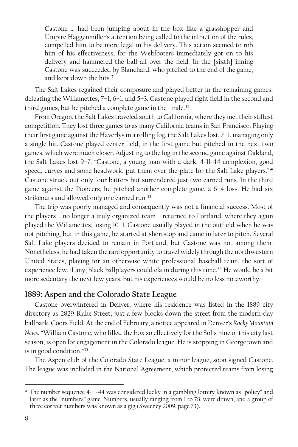Castone … had been jumping about in the box like a grasshopper and Umpire Haggenmiller's attention being called to the infraction of the rules, compelled him to be more legal in his delivery. This action seemed to rob him of his effectiveness, for the Webfooters immediately got on to his delivery and hammered the ball all over the field. In the [sixth] inning Castone was succeeded by Blanchard, who pitched to the end of the game, and kept down the hits.<sup>31</sup>

The Salt Lakes regained their composure and played better in the remaining games, defeating the Willamettes, 7–1, 6–1, and 5–3. Castone played right field in the second and third games, but he pitched a complete game in the finale.<sup>32</sup>

From Oregon, the Salt Lakes traveled south to California, where they met their stiffest competition. They lost three games to as many California teams in San Francisco. Playing their first game against the Haverlys in a rolling fog, the Salt Lakes lost, 7–1, managing only a single hit. Castone played center field, in the first game but pitched in the next two games, which were much closer. Adjusting to the fog in the second game against Oakland, the Salt Lakes lost 9–7. "Castone, a young man with a dark, 4-11-44 complexion, good speed, curves and some headwork, put them over the plate for the Salt Lake players."\* Castone struck out only four batters but surrendered just two earned runs. In the third game against the Pioneers, he pitched another complete game, a 6–4 loss. He had six strikeouts and allowed only one earned run.<sup>33</sup>

The trip was poorly managed and consequently was not a financial success. Most of the players—no longer a truly organized team—returned to Portland, where they again played the Willamettes, losing 10–1. Castone usually played in the outfield when he was not pitching, but in this game, he started at shortstop and came in later to pitch. Several Salt Lake players decided to remain in Portland, but Castone was not among them. Nonetheless, he had taken the rare opportunity to travel widely through the northwestern United States, playing for an otherwise white professional baseball team, the sort of experience few, if any, black ballplayers could claim during this time.<sup>34</sup> He would be a bit more sedentary the next few years, but his experiences would be no less noteworthy.

#### **1889: Aspen and the Colorado State League**

Castone overwintered in Denver, where his residence was listed in the 1889 city directory as 2829 Blake Street, just a few blocks down the street from the modern-day ballpark, Coors Field. At the end of February, a notice appeared in Denver's *Rocky Mountain News*. "William Castone, who filled the box so effectively for the Solis nine of this city last season, is open for engagement in the Colorado league. He is stopping in Georgetown and is in good condition."<sup>35</sup>

The Aspen club of the Colorado State League, a minor league, soon signed Castone. The league was included in the National Agreement, which protected teams from losing

<sup>\*</sup> The number sequence 4-11-44 was considered lucky in a gambling lottery known as "policy" and later as the "numbers" game. Numbers, usually ranging from 1 to 78, were drawn, and a group of three correct numbers was known as a gig (Sweeney 2009, page 73).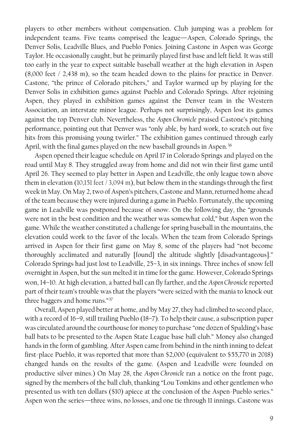players to other members without compensation. Club jumping was a problem for independent teams. Five teams comprised the league—Aspen, Colorado Springs, the Denver Solis, Leadville Blues, and Pueblo Ponies. Joining Castone in Aspen was George Taylor. He occasionally caught, but he primarily played first base and left field. It was still too early in the year to expect suitable baseball weather at the high elevation in Aspen (8,000 feet / 2,438 m), so the team headed down to the plains for practice in Denver. Castone, "the prince of Colorado pitchers," and Taylor warmed up by playing for the Denver Solis in exhibition games against Pueblo and Colorado Springs. After rejoining Aspen, they played in exhibition games against the Denver team in the Western Association, an interstate minor league. Perhaps not surprisingly, Aspen lost its games against the top Denver club. Nevertheless, the *Aspen Chronicle* praised Castone's pitching performance, pointing out that Denver was "only able, by hard work, to scratch out five hits from this promising young twirler." The exhibition games continued through early April, with the final games played on the new baseball grounds in Aspen.<sup>36</sup>

Aspen opened their league schedule on April 17 in Colorado Springs and played on the road until May 8. They struggled away from home and did not win their first game until April 26. They seemed to play better in Aspen and Leadville, the only league town above them in elevation (10,151 feet / 3,094 m), but below them in the standings through the first week in May. On May 2, two of Aspen's pitchers, Castone and Mann, returned home ahead of the team because they were injured during a game in Pueblo. Fortunately, the upcoming game in Leadville was postponed because of snow. On the following day, the "grounds were not in the best condition and the weather was somewhat cold," but Aspen won the game. While the weather constituted a challenge for spring baseball in the mountains, the elevation could work to the favor of the locals. When the team from Colorado Springs arrived in Aspen for their first game on May 8, some of the players had "not become thoroughly acclimated and naturally [found] the altitude slightly [disadvantageous]." Colorado Springs had just lost to Leadville, 25–3, in six innings. Three inches of snow fell overnight in Aspen, but the sun melted it in time for the game. However, Colorado Springs won, 14–10. At high elevation, a batted ball can fly farther, and the *Aspen Chronicle* reported part of their team's trouble was that the players "were seized with the mania to knock out three baggers and home runs."<sup>37</sup>

Overall, Aspen played better at home, and by May 27, they had climbed to second place, with a record of 16–9, still trailing Pueblo (18–7). To help their cause, a subscription paper was circulated around the courthouse for money to purchase "one dozen of Spalding's base ball bats to be presented to the Aspen State League base ball club." Money also changed hands in the form of gambling. After Aspen came from behind in the ninth inning to defeat first-place Pueblo, it was reported that more than \$2,000 (equivalent to \$55,770 in 2018) changed hands on the results of the game. (Aspen and Leadville were founded on productive silver mines.) On May 28, the *Aspen Chronicle* ran a notice on the front page, signed by the members of the ball club, thanking "Lou Tomkins and other gentlemen who presented us with ten dollars (\$10) apiece at the conclusion of the Aspen-Pueblo series." Aspen won the series—three wins, no losses, and one tie through 11 innings. Castone was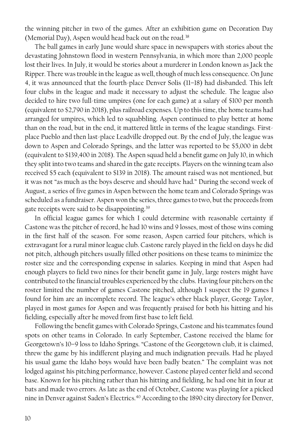the winning pitcher in two of the games. After an exhibition game on Decoration Day (Memorial Day), Aspen would head back out on the road.<sup>38</sup>

The ball games in early June would share space in newspapers with stories about the devastating Johnstown flood in western Pennsylvania, in which more than 2,000 people lost their lives. In July, it would be stories about a murderer in London known as Jack the Ripper. There was trouble in the league as well, though of much less consequence. On June 4, it was announced that the fourth-place Denver Solis (11–18) had disbanded. This left four clubs in the league and made it necessary to adjust the schedule. The league also decided to hire two full-time umpires (one for each game) at a salary of \$100 per month (equivalent to \$2,790 in 2018), plusrailroad expenses. Up to this time, the home teams had arranged for umpires, which led to squabbling. Aspen continued to play better at home than on the road, but in the end, it mattered little in terms of the league standings. Firstplace Pueblo and then last-place Leadville dropped out. By the end of July, the league was down to Aspen and Colorado Springs, and the latter was reported to be \$5,000 in debt (equivalent to \$139,400 in 2018). The Aspen squad held a benefit game on July 10, in which they split into two teams and shared in the gate receipts. Players on the winning team also received \$5 each (equivalent to \$139 in 2018). The amount raised was not mentioned, but it was not "as much as the boys deserve and should have had." During the second week of August, a series of five games in Aspen between the home team and Colorado Springs was scheduled as a fundraiser. Aspen won the series, three games to two, but the proceeds from gate receipts were said to be disappointing.<sup>39</sup>

In official league games for which I could determine with reasonable certainty if Castone was the pitcher of record, he had 10 wins and 9 losses, most of those wins coming in the first half of the season. For some reason, Aspen carried four pitchers, which is extravagant for a rural minor league club. Castone rarely played in the field on days he did not pitch, although pitchers usually filled other positions on these teams to minimize the roster size and the corresponding expense in salaries. Keeping in mind that Aspen had enough players to field two nines for their benefit game in July, large rosters might have contributed to the financial troubles experienced by the clubs. Having four pitchers on the roster limited the number of games Castone pitched, although I suspect the 19 games I found for him are an incomplete record. The league's other black player, George Taylor, played in most games for Aspen and was frequently praised for both his hitting and his fielding, especially after he moved from first base to left field.

Following the benefit games with Colorado Springs, Castone and his teammates found spots on other teams in Colorado. In early September, Castone received the blame for Georgetown's 10–9 loss to Idaho Springs. "Castone of the Georgetown club, it is claimed, threw the game by his indifferent playing and much indignation prevails. Had he played his usual game the Idaho boys would have been badly beaten." The complaint was not lodged against his pitching performance, however. Castone played center field and second base. Known for his pitching rather than his hitting and fielding, he had one hit in four at bats and made two errors. As late as the end of October, Castone was playing for a picked nine in Denver against Saden's Electrics.<sup>40</sup> According to the 1890 city directory for Denver,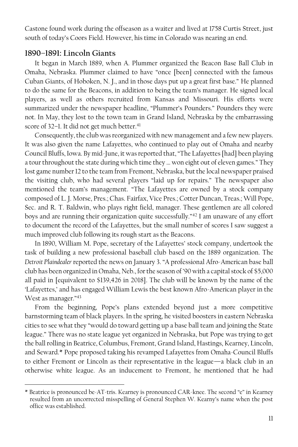Castone found work during the offseason as a waiter and lived at 1758 Curtis Street, just south of today's Coors Field. However, his time in Colorado was nearing an end.

#### **1890–1891: Lincoln Giants**

 $\overline{a}$ 

It began in March 1889, when A. Plummer organized the Beacon Base Ball Club in Omaha, Nebraska. Plummer claimed to have "once [been] connected with the famous Cuban Giants, of Hoboken, N. J., and in those days put up a great first base." He planned to do the same for the Beacons, in addition to being the team's manager. He signed local players, as well as others recruited from Kansas and Missouri. His efforts were summarized under the newspaper headline, "Plummer's Pounders." Pounders they were not. In May, they lost to the town team in Grand Island, Nebraska by the embarrassing score of 32–1. It did not get much better.<sup>41</sup>

Consequently, the club was reorganized with new management and a few new players. It was also given the name Lafayettes, who continued to play out of Omaha and nearby Council Bluffs, Iowa. By mid-June, it was reported that, "The Lafayettes [had] been playing a tour throughout the state during which time they … won eight out of eleven games." They lost game number 12 to the team from Fremont, Nebraska, but the local newspaper praised the visiting club, who had several players "laid up for repairs." The newspaper also mentioned the team's management. "The Lafayettes are owned by a stock company composed of L. J. Morse, Pres.; Chas. Fairfax, Vice Pres.; Cotter Duncan, Treas.; Will Pope, Sec. and R. T. Baldwin, who plays right field, manager. These gentlemen are all colored boys and are running their organization quite successfully."<sup>42</sup> I am unaware of any effort to document the record of the Lafayettes, but the small number of scores I saw suggest a much improved club following its rough start as the Beacons.

In 1890, William M. Pope, secretary of the Lafayettes' stock company, undertook the task of building a new professional baseball club based on the 1889 organization. The *Detroit Plaindealer* reported the news on January 3. "A professional Afro-American base ball club has been organized in Omaha, Neb., for the season of '90 with a capital stock of \$5,000 all paid in [equivalent to \$139,426 in 2018]. The club will be known by the name of the 'Lafayettes,' and has engaged William Lewis the best known Afro-American player in the West as manager."<sup>43</sup>

From the beginning, Pope's plans extended beyond just a more competitive barnstorming team of black players. In the spring, he visited boosters in eastern Nebraska cities to see what they "would do toward getting up a base ball team and joining the State league." There was no state league yet organized in Nebraska, but Pope was trying to get the ball rolling in Beatrice, Columbus, Fremont, Grand Island, Hastings, Kearney, Lincoln, and Seward.\* Pope proposed taking his revamped Lafayettes from Omaha-Council Bluffs to either Fremont or Lincoln as their representative in the league—a black club in an otherwise white league. As an inducement to Fremont, he mentioned that he had

<sup>\*</sup> Beatrice is pronounced be-AT-tris. Kearney is pronounced CAR-knee. The second "e" in Kearney resulted from an uncorrected misspelling of General Stephen W. Kearny's name when the post office was established.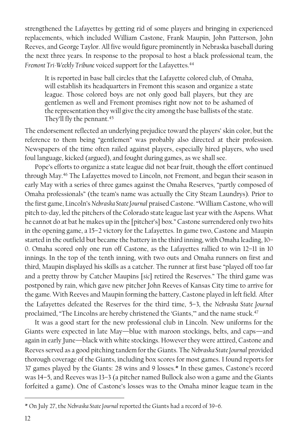strengthened the Lafayettes by getting rid of some players and bringing in experienced replacements, which included William Castone, Frank Maupin, John Patterson, John Reeves, and George Taylor. All five would figure prominently in Nebraska baseball during the next three years. In response to the proposal to host a black professional team, the Fremont Tri-Weekly Tribune voiced support for the Lafayettes.<sup>44</sup>

It is reported in base ball circles that the Lafayette colored club, of Omaha, will establish its headquarters in Fremont this season and organize a state league. Those colored boys are not only good ball players, but they are gentlemen as well and Fremont promises right now not to be ashamed of the representation they will give the city among the base ballists of the state. They'll fly the pennant.<sup>45</sup>

The endorsement reflected an underlying prejudice toward the players' skin color, but the reference to them being "gentlemen" was probably also directed at their profession. Newspapers of the time often railed against players, especially hired players, who used foul language, kicked (argued), and fought during games, as we shall see.

Pope's efforts to organize a state league did not bear fruit, though the effort continued through May. <sup>46</sup> The Lafayettes moved to Lincoln, not Fremont, and began their season in early May with a series of three games against the Omaha Reserves, "partly composed of Omaha professionals" (the team's name was actually the City Steam Laundrys). Prior to the first game, Lincoln's *Nebraska State Journal* praised Castone. "William Castone, who will pitch to-day, led the pitchers of the Colorado state league last year with the Aspens. What he cannot do at bat he makes up in the [pitcher's] box." Castone surrendered only two hits in the opening game, a 15–2 victory for the Lafayettes. In game two, Castone and Maupin started in the outfield but became the battery in the third inning, with Omaha leading, 10– 0. Omaha scored only one run off Castone, as the Lafayettes rallied to win 12–11 in 10 innings. In the top of the tenth inning, with two outs and Omaha runners on first and third, Maupin displayed his skills as a catcher. The runner at first base "played off too far and a pretty throw by Catcher Maupins [*sic*] retired the Reserves." The third game was postponed by rain, which gave new pitcher John Reeves of Kansas City time to arrive for the game. With Reeves and Maupin forming the battery, Castone played in left field. After the Lafayettes defeated the Reserves for the third time, 5–3, the *Nebraska State Journal* proclaimed, "The Lincolns are hereby christened the 'Giants," and the name stuck.<sup>47</sup>

It was a good start for the new professional club in Lincoln. New uniforms for the Giants were expected in late May—blue with maroon stockings, belts, and caps—and again in early June—black with white stockings. However they were attired, Castone and Reeves served as a good pitching tandem for the Giants. The *Nebraska State Journal* provided thorough coverage of the Giants, including box scores for most games. I found reports for 37 games played by the Giants: 28 wins and 9 losses.\* In these games, Castone's record was 14–5, and Reeves was 13–3 (a pitcher named Bullock also won a game and the Giants forfeited a game). One of Castone's losses was to the Omaha minor league team in the

<sup>\*</sup> On July 27, the *Nebraska State Journal* reported the Giants had a record of 39–6.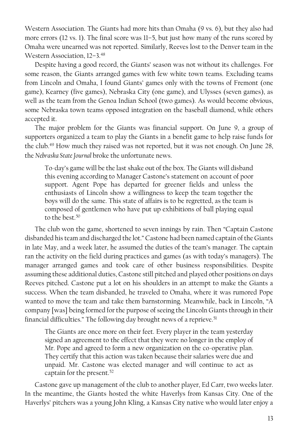Western Association. The Giants had more hits than Omaha (9 vs. 6), but they also had more errors (12 vs. 1). The final score was 11–5, but just how many of the runs scored by Omaha were unearned was not reported. Similarly, Reeves lost to the Denver team in the Western Association, 12–3. 48

Despite having a good record, the Giants' season was not without its challenges. For some reason, the Giants arranged games with few white town teams. Excluding teams from Lincoln and Omaha, I found Giants' games only with the towns of Fremont (one game), Kearney (five games), Nebraska City (one game), and Ulysses (seven games), as well as the team from the Genoa Indian School (two games). As would become obvious, some Nebraska town teams opposed integration on the baseball diamond, while others accepted it.

The major problem for the Giants was financial support. On June 9, a group of supporters organized a team to play the Giants in a benefit game to help raise funds for the club. <sup>49</sup> How much they raised was not reported, but it was not enough. On June 28, the *Nebraska State Journal* broke the unfortunate news.

To-day's game will be the last shake out of the box. The Giants will disband this evening according to Manager Castone's statement on account of poor support. Agent Pope has departed for greener fields and unless the enthusiasts of Lincoln show a willingness to keep the team together the boys will do the same. This state of affairs is to be regretted, as the team is composed of gentlemen who have put up exhibitions of ball playing equal to the best.<sup>50</sup>

The club won the game, shortened to seven innings by rain. Then "Captain Castone disbanded his team and discharged the lot." Castone had been named captain of the Giants in late May, and a week later, he assumed the duties of the team's manager. The captain ran the activity on the field during practices and games (as with today's managers). The manager arranged games and took care of other business responsibilities. Despite assuming these additional duties, Castone still pitched and played other positions on days Reeves pitched. Castone put a lot on his shoulders in an attempt to make the Giants a success. When the team disbanded, he traveled to Omaha, where it was rumored Pope wanted to move the team and take them barnstorming. Meanwhile, back in Lincoln, "A company [was] being formed for the purpose of seeing the Lincoln Giants through in their financial difficulties." The following day brought news of a reprieve.<sup>51</sup>

The Giants are once more on their feet. Every player in the team yesterday signed an agreement to the effect that they were no longer in the employ of Mr. Pope and agreed to form a new organization on the co-operative plan. They certify that this action was taken because their salaries were due and unpaid. Mr. Castone was elected manager and will continue to act as captain for the present.<sup>52</sup>

Castone gave up management of the club to another player, Ed Carr, two weeks later. In the meantime, the Giants hosted the white Haverlys from Kansas City. One of the Haverlys' pitchers was a young John Kling, a Kansas City native who would later enjoy a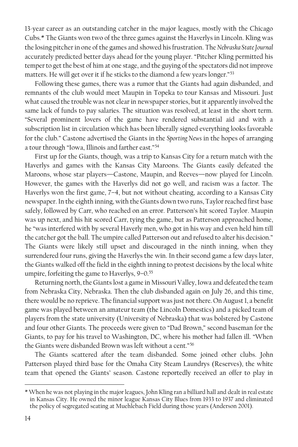13-year career as an outstanding catcher in the major leagues, mostly with the Chicago Cubs.\* The Giants won two of the three games against the Haverlys in Lincoln. Kling was the losing pitcher in one of the games and showed his frustration. The *Nebraska State Journal* accurately predicted better days ahead for the young player. "Pitcher Kling permitted his temper to get the best of him at one stage, and the guying of the spectators did not improve matters. He will get over it if he sticks to the diamond a few years longer."<sup>53</sup>

Following these games, there was a rumor that the Giants had again disbanded, and remnants of the club would meet Maupin in Topeka to tour Kansas and Missouri. Just what caused the trouble was not clear in newspaper stories, but it apparently involved the same lack of funds to pay salaries. The situation was resolved, at least in the short term. "Several prominent lovers of the game have rendered substantial aid and with a subscription list in circulation which has been liberally signed everything looks favorable for the club." Castone advertised the Giants in the *Sporting News* in the hopes of arranging a tour through "Iowa, Illinois and farther east."<sup>54</sup>

First up for the Giants, though, was a trip to Kansas City for a return match with the Haverlys and games with the Kansas City Maroons. The Giants easily defeated the Maroons, whose star players—Castone, Maupin, and Reeves—now played for Lincoln. However, the games with the Haverlys did not go well, and racism was a factor. The Haverlys won the first game, 7–4, but not without cheating, according to a Kansas City newspaper. In the eighth inning, with the Giants down two runs, Taylor reached first base safely, followed by Carr, who reached on an error. Patterson's hit scored Taylor. Maupin was up next, and his hit scored Carr, tying the game, but as Patterson approached home, he "was interfered with by several Haverly men, who got in his way and even held him till the catcher got the ball. The umpire called Patterson out and refused to alter his decision." The Giants were likely still upset and discouraged in the ninth inning, when they surrendered four runs, giving the Haverlys the win. In their second game a few days later, the Giants walked off the field in the eighth inning to protest decisions by the local white umpire, forfeiting the game to Haverlys, 9-0.<sup>55</sup>

Returning north, the Giants lost a game in Missouri Valley, Iowa and defeated the team from Nebraska City, Nebraska. Then the club disbanded again on July 26, and this time, there would be no reprieve. The financial support was just not there. On August 1, a benefit game was played between an amateur team (the Lincoln Domestics) and a picked team of players from the state university (University of Nebraska) that was bolstered by Castone and four other Giants. The proceeds were given to "Dad Brown," second baseman for the Giants, to pay for his travel to Washington, DC, where his mother had fallen ill. "When the Giants were disbanded Brown was left without a cent."<sup>56</sup>

The Giants scattered after the team disbanded. Some joined other clubs. John Patterson played third base for the Omaha City Steam Laundrys (Reserves), the white team that opened the Giants' season. Castone reportedly received an offer to play in

<sup>\*</sup> When he was not playing in the major leagues, John Kling ran a billiard hall and dealt in real estate in Kansas City. He owned the minor league Kansas City Blues from 1933 to 1937 and eliminated the policy of segregated seating at Muehlebach Field during those years (Anderson 2001).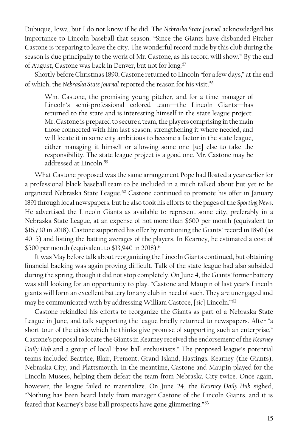Dubuque, Iowa, but I do not know if he did. The *Nebraska State Journal* acknowledged his importance to Lincoln baseball that season. "Since the Giants have disbanded Pitcher Castone is preparing to leave the city. The wonderful record made by this club during the season is due principally to the work of Mr. Castone, as his record will show." By the end of August, Castone was back in Denver, but not for long.<sup>57</sup>

Shortly before Christmas 1890, Castone returned to Lincoln "for a few days," at the end of which, the *Nebraska State Journal* reported the reason for his visit. 58

Wm. Castone, the promising young pitcher, and for a time manager of Lincoln's semi-professional colored team—the Lincoln Giants—has returned to the state and is interesting himself in the state league project. Mr. Castone is prepared to secure a team, the players comprising in the main those connected with him last season, strengthening it where needed, and will locate it in some city ambitious to become a factor in the state league, either managing it himself or allowing some one [*sic*] else to take the responsibility. The state league project is a good one. Mr. Castone may be addressed at Lincoln.<sup>59</sup>

What Castone proposed was the same arrangement Pope had floated a year earlier for a professional black baseball team to be included in a much talked about but yet to be organized Nebraska State League.<sup>60</sup> Castone continued to promote his offer in January 1891 through local newspapers, but he also took his efforts to the pages of the *Sporting News*. He advertised the Lincoln Giants as available to represent some city, preferably in a Nebraska State League, at an expense of not more than \$600 per month (equivalent to \$16,730 in 2018). Castone supported his offer by mentioning the Giants' record in 1890 (as 40–5) and listing the batting averages of the players. In Kearney, he estimated a cost of \$500 per month (equivalent to \$13,940 in 2018). 61

It was May before talk about reorganizing the Lincoln Giants continued, but obtaining financial backing was again proving difficult. Talk of the state league had also subsided during the spring, though it did not stop completely. On June 4, the Giants' former battery was still looking for an opportunity to play. "Castone and Maupin of last year's Lincoln giants will form an excellent battery for any club in need of such. They are unengaged and may be communicated with by addressing William Castoce, [*sic*] Lincoln."<sup>62</sup>

Castone rekindled his efforts to reorganize the Giants as part of a Nebraska State League in June, and talk supporting the league briefly returned to newspapers. After "a short tour of the cities which he thinks give promise of supporting such an enterprise," Castone's proposal to locate the Giants in Kearney received the endorsement ofthe *Kearney Daily Hub* and a group of local "base ball enthusiasts." The proposed league's potential teams included Beatrice, Blair, Fremont, Grand Island, Hastings, Kearney (the Giants), Nebraska City, and Plattsmouth. In the meantime, Castone and Maupin played for the Lincoln Musees, helping them defeat the team from Nebraska City twice. Once again, however, the league failed to materialize. On June 24, the *Kearney Daily Hub* sighed, "Nothing has been heard lately from manager Castone of the Lincoln Giants, and it is feared that Kearney's base ball prospects have gone glimmering."63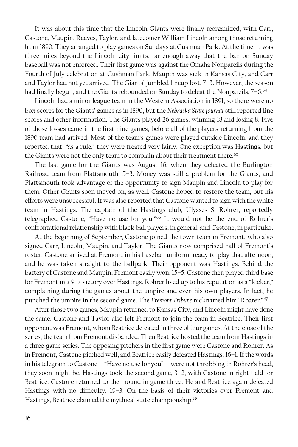It was about this time that the Lincoln Giants were finally reorganized, with Carr, Castone, Maupin, Reeves, Taylor, and latecomer William Lincoln among those returning from 1890. They arranged to play games on Sundays at Cushman Park. At the time, it was three miles beyond the Lincoln city limits, far enough away that the ban on Sunday baseball was not enforced. Their first game was against the Omaha Nonpareils during the Fourth of July celebration at Cushman Park. Maupin was sick in Kansas City, and Carr and Taylor had not yet arrived. The Giants' jumbled lineup lost, 7–3. However, the season had finally begun, and the Giants rebounded on Sunday to defeat the Nonpareils, 7–6. 64

Lincoln had a minor league team in the Western Association in 1891, so there were no box scores for the Giants' games as in 1890, but the *Nebraska State Journal* still reported line scores and other information. The Giants played 26 games, winning 18 and losing 8. Five of those losses came in the first nine games, before all of the players returning from the 1890 team had arrived. Most of the team's games were played outside Lincoln, and they reported that, "as a rule," they were treated very fairly. One exception was Hastings, but the Giants were not the only team to complain about their treatment there.<sup>65</sup>

The last game for the Giants was August 16, when they defeated the Burlington Railroad team from Plattsmouth, 5–3. Money was still a problem for the Giants, and Plattsmouth took advantage of the opportunity to sign Maupin and Lincoln to play for them. Other Giants soon moved on, as well. Castone hoped to restore the team, but his efforts were unsuccessful. It was also reported that Castone wanted to sign with the white team in Hastings. The captain of the Hastings club, Ulysses S. Rohrer, reportedly telegraphed Castone, "Have no use for you."<sup>66</sup> It would not be the end of Rohrer's confrontational relationship with black ball players, in general, and Castone, in particular.

At the beginning of September, Castone joined the town team in Fremont, who also signed Carr, Lincoln, Maupin, and Taylor. The Giants now comprised half of Fremont's roster. Castone arrived at Fremont in his baseball uniform, ready to play that afternoon, and he was taken straight to the ballpark. Their opponent was Hastings. Behind the battery of Castone and Maupin, Fremont easily won, 15–5. Castone then played third base for Fremont in a 9–7 victory over Hastings. Rohrer lived up to his reputation as a "kicker," complaining during the games about the umpire and even his own players. In fact, he punched the umpire in the second game. The *Fremont Tribune* nicknamed him "Roarer."<sup>67</sup>

After those two games, Maupin returned to Kansas City, and Lincoln might have done the same. Castone and Taylor also left Fremont to join the team in Beatrice. Their first opponent was Fremont, whom Beatrice defeated in three of four games. At the close of the series, the team from Fremont disbanded. Then Beatrice hosted the team from Hastings in a three-game series. The opposing pitchers in the first game were Castone and Rohrer. As in Fremont, Castone pitched well, and Beatrice easily defeated Hastings, 16–1. If the words in his telegram to Castone—"Have no use for you"—were not throbbing in Rohrer's head, they soon might be. Hastings took the second game, 3–2, with Castone in right field for Beatrice. Castone returned to the mound in game three. He and Beatrice again defeated Hastings with no difficulty, 19–3. On the basis of their victories over Fremont and Hastings, Beatrice claimed the mythical state championship.<sup>68</sup>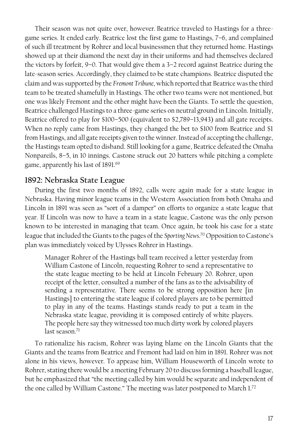Their season was not quite over, however. Beatrice traveled to Hastings for a threegame series. It ended early. Beatrice lost the first game to Hastings, 7–6, and complained of such ill treatment by Rohrer and local businessmen that they returned home. Hastings showed up at their diamond the next day in their uniforms and had themselves declared the victors by forfeit, 9–0. That would give them a 3–2 record against Beatrice during the late-season series. Accordingly, they claimed to be state champions. Beatrice disputed the claim and was supported by the *Fremont Tribune*, which reported that Beatrice was the third team to be treated shamefully in Hastings. The other two teams were not mentioned, but one was likely Fremont and the other might have been the Giants. To settle the question, Beatrice challenged Hastings to a three-game series on neutral ground in Lincoln. Initially, Beatrice offered to play for \$100–500 (equivalent to \$2,789–13,943) and all gate receipts. When no reply came from Hastings, they changed the bet to \$100 from Beatrice and \$1 from Hastings, and all gate receipts given to the winner. Instead of accepting the challenge, the Hastings team opted to disband. Still looking for a game, Beatrice defeated the Omaha Nonpareils, 8–5, in 10 innings. Castone struck out 20 batters while pitching a complete game, apparently his last of 1891.<sup>69</sup>

#### **1892: Nebraska State League**

During the first two months of 1892, calls were again made for a state league in Nebraska. Having minor league teams in the Western Association from both Omaha and Lincoln in 1891 was seen as "sort of a damper" on efforts to organize a state league that year. If Lincoln was now to have a team in a state league, Castone was the only person known to be interested in managing that team. Once again, he took his case for a state league that included the Giants to the pages of the *Sporting News*. <sup>70</sup> Opposition to Castone's plan was immediately voiced by Ulysses Rohrer in Hastings.

Manager Rohrer of the Hastings ball team received a letter yesterday from William Castone of Lincoln, requesting Rohrer to send a representative to the state league meeting to be held at Lincoln February 20. Rohrer, upon receipt of the letter, consulted a number of the fans as to the advisability of sending a representative. There seems to be strong opposition here [in Hastings] to entering the state league if colored players are to be permitted to play in any of the teams. Hastings stands ready to put a team in the Nebraska state league, providing it is composed entirely of white players. The people here say they witnessed too much dirty work by colored players last season.<sup>71</sup>

To rationalize his racism, Rohrer was laying blame on the Lincoln Giants that the Giants and the teams from Beatrice and Fremont had laid on him in 1891. Rohrer was not alone in his views, however. To appease him, William Houseworth of Lincoln wrote to Rohrer, stating there would be a meeting February 20 to discuss forming a baseball league, but he emphasized that "the meeting called by him would be separate and independent of the one called by William Castone." The meeting was later postponed to March 1.<sup>72</sup>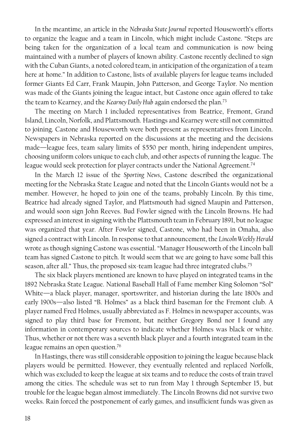In the meantime, an article in the *Nebraska State Journal* reported Houseworth's efforts to organize the league and a team in Lincoln, which might include Castone. "Steps are being taken for the organization of a local team and communication is now being maintained with a number of players of known ability. Castone recently declined to sign with the Cuban Giants, a noted colored team, in anticipation of the organization of a team here at home." In addition to Castone, lists of available players for league teams included former Giants Ed Carr, Frank Maupin, John Patterson, and George Taylor. No mention was made of the Giants joining the league intact, but Castone once again offered to take the team to Kearney, and the *Kearney Daily Hub* again endorsed the plan.<sup>73</sup>

The meeting on March 1 included representatives from Beatrice, Fremont, Grand Island, Lincoln, Norfolk, and Plattsmouth. Hastings and Kearney were still not committed to joining. Castone and Houseworth were both present as representatives from Lincoln. Newspapers in Nebraska reported on the discussions at the meeting and the decisions made—league fees, team salary limits of \$550 per month, hiring independent umpires, choosing uniform colors unique to each club, and other aspects of running the league. The league would seek protection for player contracts under the National Agreement.<sup>74</sup>

In the March 12 issue of the *Sporting News*, Castone described the organizational meeting for the Nebraska State League and noted that the Lincoln Giants would not be a member. However, he hoped to join one of the teams, probably Lincoln. By this time, Beatrice had already signed Taylor, and Plattsmouth had signed Maupin and Patterson, and would soon sign John Reeves. Bud Fowler signed with the Lincoln Browns. He had expressed an interest in signing with the Plattsmouth team in February 1891, but no league was organized that year. After Fowler signed, Castone, who had been in Omaha, also signed a contract with Lincoln. In response to that announcement, the *Lincoln Weekly Herald* wrote as though signing Castone was essential. "Manager Houseworth of the Lincoln ball team has signed Castone to pitch. It would seem that we are going to have some ball this season, after all." Thus, the proposed six-team league had three integrated clubs.<sup>75</sup>

The six black players mentioned are known to have played on integrated teams in the 1892 Nebraska State League. National Baseball Hall of Fame member King Solomon "Sol" White—a black player, manager, sportswriter, and historian during the late 1800s and early 1900s—also listed "B. Holmes" as a black third baseman for the Fremont club. A player named Fred Holmes, usually abbreviated as F. Holmes in newspaper accounts, was signed to play third base for Fremont, but neither Gregory Bond nor I found any information in contemporary sources to indicate whether Holmes was black or white. Thus, whether or not there was a seventh black player and a fourth integrated team in the league remains an open question.<sup>76</sup>

In Hastings, there was still considerable opposition to joining the league because black players would be permitted. However, they eventually relented and replaced Norfolk, which was excluded to keep the league at six teams and to reduce the costs of train travel among the cities. The schedule was set to run from May 1 through September 15, but trouble for the league began almost immediately. The Lincoln Browns did not survive two weeks. Rain forced the postponement of early games, and insufficient funds was given as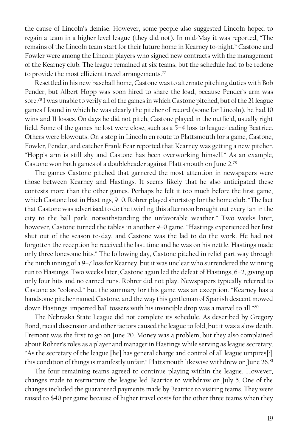the cause of Lincoln's demise. However, some people also suggested Lincoln hoped to regain a team in a higher level league (they did not). In mid-May it was reported, "The remains of the Lincoln team start for their future home in Kearney to-night." Castone and Fowler were among the Lincoln players who signed new contracts with the management of the Kearney club. The league remained at six teams, but the schedule had to be redone to provide the most efficient travel arrangements. $^{77}$ 

Resettled in his new baseball home, Castone was to alternate pitching duties with Bob Pender, but Albert Hopp was soon hired to share the load, because Pender's arm was sore.<sup>78</sup> I was unable to verify all of the games in which Castone pitched, but of the 21 league games I found in which he was clearly the pitcher of record (some for Lincoln), he had 10 wins and 11 losses. On days he did not pitch, Castone played in the outfield, usually right field. Some of the games he lost were close, such as a 5–4 loss to league-leading Beatrice. Others were blowouts. On a stop in Lincoln en route to Plattsmouth for a game, Castone, Fowler, Pender, and catcher Frank Fear reported that Kearney was getting a new pitcher. "Hopp's arm is still shy and Castone has been overworking himself." As an example, Castone won both games of a doubleheader against Plattsmouth on June 2.<sup>79</sup>

The games Castone pitched that garnered the most attention in newspapers were those between Kearney and Hastings. It seems likely that he also anticipated these contests more than the other games. Perhaps he felt it too much before the first game, which Castone lost in Hastings, 9–0. Rohrer played shortstop for the home club. "The fact that Castone was advertised to do the twirling this afternoon brought out every fan in the city to the ball park, notwithstanding the unfavorable weather." Two weeks later, however, Castone turned the tables in another 9–0 game. "Hastings experienced her first shut out of the season to-day, and Castone was the lad to do the work. He had not forgotten the reception he received the last time and he was on his nettle. Hastings made only three lonesome hits." The following day, Castone pitched in relief part way through the ninth inning of a 9–7 loss for Kearney, but it was unclear who surrendered the winning run to Hastings. Two weeks later, Castone again led the defeat of Hastings, 6–2, giving up only four hits and no earned runs. Rohrer did not play. Newspapers typically referred to Castone as "colored," but the summary for this game was an exception. "Kearney has a handsome pitcher named Castone, and the way this gentleman of Spanish descent mowed down Hastings' imported ball tossers with his invincible drop was a marvel to all."<sup>80</sup>

The Nebraska State League did not complete its schedule. As described by Gregory Bond, racial dissension and other factors caused the league to fold, but it was a slow death. Fremont was the first to go on June 20. Money was a problem, but they also complained about Rohrer's roles as a player and manager in Hastings while serving as league secretary. "As the secretary of the league [he] has general charge and control of all league umpires[;] this condition of things is manifestly unfair." Plattsmouth likewise withdrew on June 26.<sup>81</sup>

The four remaining teams agreed to continue playing within the league. However, changes made to restructure the league led Beatrice to withdraw on July 5. One of the changes included the guaranteed payments made by Beatrice to visiting teams. They were raised to \$40 per game because of higher travel costs for the other three teams when they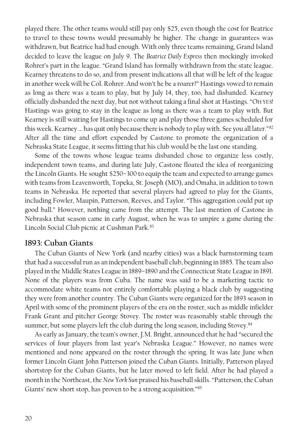played there. The other teams would still pay only \$25, even though the cost for Beatrice to travel to these towns would presumably be higher. The change in guarantees was withdrawn, but Beatrice had had enough. With only three teams remaining, Grand Island decided to leave the league on July 9. The *Beatrice Daily Express* then mockingly invoked Rohrer's part in the league. "Grand Island has formally withdrawn from the state league. Kearney threatens to do so, and from present indications all that will be left of the league in another week will be Col. Rohrer. And won't he be a roarer?" Hastings vowed to remain as long as there was a team to play, but by July 14, they, too, had disbanded. Kearney officially disbanded the next day, but not without taking a final shot at Hastings. "OH YES! Hastings was going to stay in the league as long as there was a team to play with. But Kearney is still waiting for Hastings to come up and play those three games scheduled for this week. Kearney ... has quit only because there is nobody to play with. See you all later."82 After all the time and effort expended by Castone to promote the organization of a Nebraska State League, it seems fitting that his club would be the last one standing.

Some of the towns whose league teams disbanded chose to organize less costly, independent town teams, and during late July, Castone floated the idea of reorganizing the Lincoln Giants. He sought \$250–300 to equip the team and expected to arrange games with teams from Leavenworth, Topeka, St. Joseph (MO), and Omaha, in addition to town teams in Nebraska. He reported that several players had agreed to play for the Giants, including Fowler, Maupin, Patterson, Reeves, and Taylor. "This aggregation could put up good ball." However, nothing came from the attempt. The last mention of Castone in Nebraska that season came in early August, when he was to umpire a game during the Lincoln Social Club picnic at Cushman Park.<sup>83</sup>

#### **1893: Cuban Giants**

The Cuban Giants of New York (and nearby cities) was a black barnstorming team that had a successful run as an independent baseball club, beginning in 1885. The team also played in the Middle States League in 1889–1890 and the Connecticut State League in 1891. None of the players was from Cuba. The name was said to be a marketing tactic to accommodate white teams not entirely comfortable playing a black club by suggesting they were from another country. The Cuban Giants were organized for the 1893 season in April with some of the prominent players of the era on the roster, such as middle infielder Frank Grant and pitcher George Stovey. The roster was reasonably stable through the summer, but some players left the club during the long season, including Stovey.<sup>84</sup>

As early as January, the team's owner, J.M. Bright, announced that he had "secured the services of four players from last year's Nebraska League." However, no names were mentioned and none appeared on the roster through the spring. It was late June when former Lincoln Giant John Patterson joined the Cuban Giants. Initially, Patterson played shortstop for the Cuban Giants, but he later moved to left field. After he had played a month in the Northeast, the *New York Sun* praised his baseball skills. "Patterson, the Cuban Giants' new short stop, has proven to be a strong acquisition."85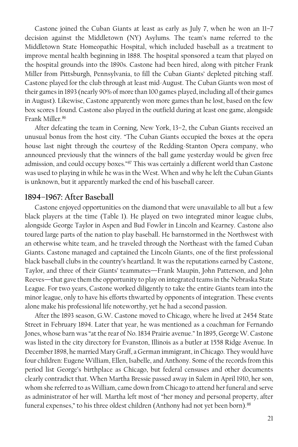Castone joined the Cuban Giants at least as early as July 7, when he won an 11–7 decision against the Middletown (NY) Asylums. The team's name referred to the Middletown State Homeopathic Hospital, which included baseball as a treatment to improve mental health beginning in 1888. The hospital sponsored a team that played on the hospital grounds into the 1890s. Castone had been hired, along with pitcher Frank Miller from Pittsburgh, Pennsylvania, to fill the Cuban Giants' depleted pitching staff. Castone played for the club through at least mid-August. The Cuban Giants won most of their games in 1893 (nearly 90% of more than 100 games played, including all of their games in August). Likewise, Castone apparently won more games than he lost, based on the few box scores I found. Castone also played in the outfield during at least one game, alongside Frank Miller.<sup>86</sup>

After defeating the team in Corning, New York, 13–2, the Cuban Giants received an unusual bonus from the host city. "The Cuban Giants occupied the boxes at the opera house last night through the courtesy of the Redding-Stanton Opera company, who announced previously that the winners of the ball game yesterday would be given free admission, and could occupy boxes."<sup>87</sup> This was certainly a different world than Castone was used to playing in while he was in the West. When and why he left the Cuban Giants is unknown, but it apparently marked the end of his baseball career.

#### **1894–1967: After Baseball**

Castone enjoyed opportunities on the diamond that were unavailable to all but a few black players at the time (Table 1). He played on two integrated minor league clubs, alongside George Taylor in Aspen and Bud Fowler in Lincoln and Kearney. Castone also toured large parts of the nation to play baseball. He barnstormed in the Northwest with an otherwise white team, and he traveled through the Northeast with the famed Cuban Giants. Castone managed and captained the Lincoln Giants, one of the first professional black baseball clubs in the country's heartland. It was the reputations earned by Castone, Taylor, and three of their Giants' teammates—Frank Maupin, John Patterson, and John Reeves—that gave them the opportunity to play on integrated teams in the Nebraska State League. For two years, Castone worked diligently to take the entire Giants team into the minor league, only to have his efforts thwarted by opponents of integration. These events alone make his professional life noteworthy, yet he had a second passion.

After the 1893 season, G.W. Castone moved to Chicago, where he lived at 2454 State Street in February 1894. Later that year, he was mentioned as a coachman for Fernando Jones, whose barn was "at the rear of No. 1834 Prairie avenue." In 1895, George W. Castone was listed in the city directory for Evanston, Illinois as a butler at 1558 Ridge Avenue. In December 1898, he married Mary Graff, a German immigrant, in Chicago. They would have four children: Eugene William, Ellen, Isabelle, and Anthony. Some of the records from this period list George's birthplace as Chicago, but federal censuses and other documents clearly contradict that. When Martha Bressie passed away in Salem in April 1910, her son, whom she referred to as William, came down from Chicago to attend her funeral and serve as administrator of her will. Martha left most of "her money and personal property, after funeral expenses," to his three oldest children (Anthony had not yet been born). 88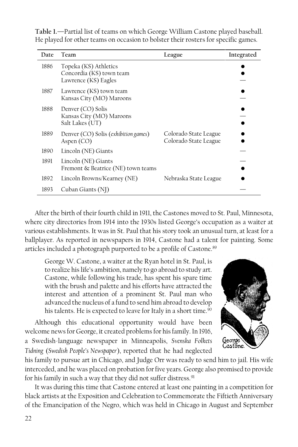| Date | Team                                                                      | League                                         | Integrated |
|------|---------------------------------------------------------------------------|------------------------------------------------|------------|
| 1886 | Topeka (KS) Athletics<br>Concordia (KS) town team<br>Lawrence (KS) Eagles |                                                |            |
| 1887 | Lawrence (KS) town team<br>Kansas City (MO) Maroons                       |                                                |            |
| 1888 | Denver (CO) Solis<br>Kansas City (MO) Maroons<br>Salt Lakes (UT)          |                                                |            |
| 1889 | Denver (CO) Solis (exhibition games)<br>Aspen $(CO)$                      | Colorado State League<br>Colorado State League |            |
| 1890 | Lincoln (NE) Giants                                                       |                                                |            |
| 1891 | Lincoln (NE) Giants<br>Fremont & Beatrice (NE) town teams                 |                                                |            |
| 1892 | Lincoln Browns/Kearney (NE)                                               | Nebraska State League                          |            |
| 1893 | Cuban Giants (NJ)                                                         |                                                |            |

**Table 1.**—Partial list of teams on which George William Castone played baseball. He played for other teams on occasion to bolster their rosters for specific games.

After the birth of their fourth child in 1911, the Castones moved to St. Paul, Minnesota, where city directories from 1914 into the 1930s listed George's occupation as a waiter at various establishments. It was in St. Paul that his story took an unusual turn, at least for a ballplayer. As reported in newspapers in 1914, Castone had a talent for painting. Some articles included a photograph purported to be a profile of Castone.<sup>89</sup>

George W. Castone, a waiter at the Ryan hotel in St. Paul, is to realize his life's ambition, namely to go abroad to study art. Castone, while following his trade, has spent his spare time with the brush and palette and his efforts have attracted the interest and attention of a prominent St. Paul man who advanced the nucleus of a fund to send him abroad to develop his talents. He is expected to leave for Italy in a short time.<sup>90</sup>

Although this educational opportunity would have been welcome news for George, it created problems for his family. In 1916, a Swedish-language newspaper in Minneapolis, *Svenska Folkets Tidning* (*Swedish People's Newspaper*), reported that he had neglected



his family to pursue art in Chicago, and Judge Orr was ready to send him to jail. His wife interceded, and he was placed on probation forfive years. George also promised to provide for his family in such a way that they did not suffer distress.<sup>91</sup>

It was during this time that Castone entered at least one painting in a competition for black artists at the Exposition and Celebration to Commemorate the Fiftieth Anniversary of the Emancipation of the Negro, which was held in Chicago in August and September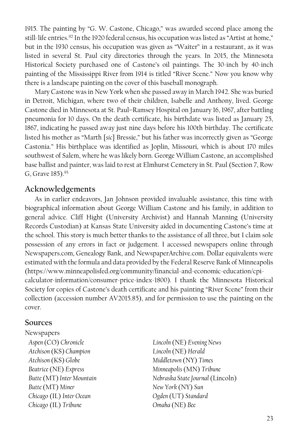1915. The painting by "G. W. Castone, Chicago," was awarded second place among the still-life entries. <sup>92</sup> In the 1920 federal census, his occupation was listed as "Artist at home," but in the 1930 census, his occupation was given as "Waiter" in a restaurant, as it was listed in several St. Paul city directories through the years. In 2015, the Minnesota Historical Society purchased one of Castone's oil paintings. The 30-inch by 40-inch painting of the Mississippi River from 1914 is titled "River Scene." Now you know why there is a landscape painting on the cover of this baseball monograph.

Mary Castone was in New York when she passed away in March 1942. She was buried in Detroit, Michigan, where two of their children, Isabelle and Anthony, lived. George Castone died in Minnesota at St. Paul–Ramsey Hospital on January 16, 1967, after battling pneumonia for 10 days. On the death certificate, his birthdate was listed as January 25, 1867, indicating he passed away just nine days before his 100th birthday. The certificate listed his mother as "Marth [*sic*] Bressie," but his father was incorrectly given as "George Castonia." His birthplace was identified as Joplin, Missouri, which is about 170 miles southwest of Salem, where he was likely born. George William Castone, an accomplished base ballist and painter, was laid to rest at Elmhurst Cemetery in St. Paul (Section 7, Row G, Grave 185).<sup>93</sup>

#### **Acknowledgements**

As in earlier endeavors, Jan Johnson provided invaluable assistance, this time with biographical information about George William Castone and his family, in addition to general advice. Cliff Hight (University Archivist) and Hannah Manning (University Records Custodian) at Kansas State University aided in documenting Castone's time at the school. This story is much better thanks to the assistance of all three, but I claim sole possession of any errors in fact or judgement. I accessed newspapers online through Newspapers.com, Genealogy Bank, and NewspaperArchive.com. Dollar equivalents were estimated with the formula and data provided by the Federal Reserve Bank of Minneapolis (https://www.minneapolisfed.org/community/financial-and-economic-education/cpicalculator-information/consumer-price-index-1800). I thank the Minnesota Historical Society for copies of Castone's death certificate and his painting "River Scene" from their collection (accession number AV2015.85), and for permission to use the painting on the cover.

#### **Sources**

- Newspapers *Aspen* (CO) *Chronicle Lincoln* (NE) *Evening News Atchison* (KS) *Champion Lincoln* (NE) *Herald Atchison* (KS) *Globe Middletown* (NY) *Times Beatrice* (NE) *Express Minneapolis* (MN) *Tribune Butte* (MT) *Miner New York* (NY) *Sun Chicago* (IL) *Inter Ocean Ogden* (UT) *Standard Chicago* (IL) *Tribune Omaha* (NE) *Bee*
	- *Butte* (MT)*Inter Mountain Nebraska State Journal* (Lincoln)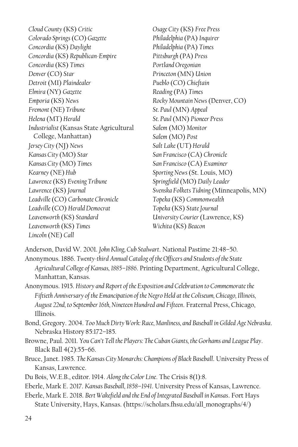*Cloud County* (KS) *Critic Osage City* (KS) *Free Press Colorado Springs* (CO) *Gazette Philadelphia* (PA) *Inquirer Concordia* (KS) *Daylight Philadelphia* (PA) *Times Concordia* (KS) *Republican-Empire Pittsburgh* (PA) *Press Concordia* (KS) *Times Portland Oregonian Denver* (CO) *Star Princeton* (MN) *Union Detroit* (MI) *Plaindealer Pueblo* (CO) *Chieftain Elmira* (NY) *Gazette Reading* (PA) *Times Emporia* (KS) *News Rocky Mountain News* (Denver, CO) *Fremont* (NE) *Tribune St. Paul* (MN) *Appeal Helena* (MT) *Herald St. Paul* (MN) *Pioneer Press Industrialist* (Kansas State Agricultural College, Manhattan) *Jersey City* (NJ) *News Salt Lake* (UT) *Herald Kansas City* (MO) *Star San Francisco* (CA) *Chronicle Kansas City* (MO) *Times San Francisco* (CA) *Examiner Kearney* (NE) *Hub Sporting News* (St. Louis, MO) *Lawrence* (KS) *Evening Tribune Springfield* (MO) *Daily Leader Leadville* (CO) *Carbonate Chronicle Topeka* (KS) *Commonwealth Leadville* (CO) *Herald Democrat Topeka* (KS) *State Journal Leavenworth* (KS) *Standard University Courier* (Lawrence, KS) *Leavenworth* (KS) *Times Wichita* (KS) *Beacon Lincoln* (NE) *Call*

*Salem* (MO) *Monitor Salem* (MO) *Post Lawrence* (KS) *Journal Svenska Folkets Tidning* (Minneapolis, MN)

Anderson, David W. 2001. *John Kling, Cub Stalwart*. National Pastime 21:48–50.

Anonymous. 1886. *Twenty-third Annual Catalog of the Officers and Students of the State Agricultural College of Kansas, 1885–1886*. Printing Department, Agricultural College, Manhattan, Kansas.

Anonymous. 1915. *History and Report of the Exposition and Celebration to Commemorate the Fiftieth Anniversary of the Emancipation of the Negro Held at the Coliseum, Chicago, Illinois, August 22nd, to September 16th, Nineteen Hundred and Fifteen*. Fraternal Press, Chicago, Illinois.

- Bond, Gregory. 2004. *Too Much Dirty Work: Race, Manliness, and Baseball in Gilded Age Nebraska*. Nebraska History 85:172–185.
- Browne, Paul. 2011. *You Can't Tell the Players: The Cuban Giants, the Gorhams and League Play*. Black Ball 4(2):55–66.
- Bruce, Janet. 1985. *The Kansas City Monarchs: Champions of Black Baseball*. University Press of Kansas, Lawrence.
- Du Bois, W.E.B., editor. 1914. *Along the Color Line*. The Crisis 8(1):8.
- Eberle, Mark E. 2017. *Kansas Baseball, 1858–1941*. University Press of Kansas, Lawrence.
- Eberle, Mark E. 2018. *Bert Wakefield and the End of Integrated Baseball in Kansas*. Fort Hays State University, Hays, Kansas. (https://scholars.fhsu.edu/all\_monographs/4/)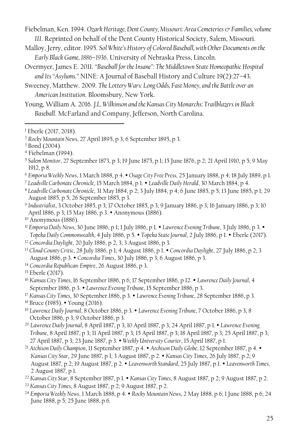- Fiebelman, Ken. 1994. *Ozark Heritage, Dent County, Missouri: Area Cemeteries & Families, volume III*. Reprinted on behalf of the Dent County Historical Society, Salem, Missouri.
- Malloy, Jerry, editor. 1995. *Sol White's History of Colored Baseball, with Other Documents on the Early Black Game, 1886–1936*. University of Nebraska Press, Lincoln.
- Overmyer, James E. 2011. *"Baseball for the Insane": The Middletown State Homeopathic Hospital and Its "Asylums."* NINE: A Journal of Baseball History and Culture 19(2):27–43.
- Sweeney, Matthew. 2009. *The Lottery Wars: Long Odds, Fast Money, and the Battle over an American Institution*. Bloomsbury, New York.
- Young, William A. 2016. *J.L. Wilkinson and the Kansas City Monarchs: Trailblazers in Black Baseball*. McFarland and Company, Jefferson, North Carolina.

- <sup>6</sup> *Emporia Weekly News*, 1 March 1888, p 4. *Osage City Free Press*, 25 January 1888, p 4; 18 July 1889, p 1.
- <sup>7</sup> *Leadville Carbonate Chronicle*, 15 March 1884, p 1. *Leadville Daily Herald*, 30 March 1884, p 4.
- <sup>8</sup> *Leadville Carbonate Chronicle*, 31 May 1884, p 2; 3 July 1884, p 4; 6 June 1885, p 5; 13 June 1885, p 1; 29 August 1885, p 5; 26 September 1885, p 3.
- 9 *Industrialist*, 3 October 1885, p 3; 17 October 1885, p 3; 9 January 1886, p 3; 16 January 1886, p 3; 10 April 1886, p 3; 15 May 1886, p 3. • Anonymous (1886).
- <sup>10</sup> Anonymous (1886).
- <sup>11</sup> *Emporia Daily News*, 30 June 1886, p 1; 1 July 1886, p 1. *Lawrence Evening Tribune*, 3 July 1886, p 3. *Topeka Daily Commonwealth*, 4 July 1886, p 5. *Topeka State Journal*, 2 July 1886, p 1. Eberle (2017).
- <sup>12</sup> *Concordia Daylight*, 20 July 1886, p 2, 3; 3 August 1886, p 3.
- <sup>13</sup> *Cloud County Critic*, 28 July 1886, p 1; 4 August 1886, p 1. *Concordia Daylight*, 27 July 1886, p 2; 3 August 1886, p 3. *Concordia Times*, 30 July 1886, p 3; 6 August 1886, p 3.
- <sup>14</sup> *Concordia Republican-Empire*, 26 August 1886, p 3.
- <sup>15</sup> Eberle (2017).
- <sup>16</sup> *Kansas City Times*, 16 September 1886, p 6; 17 September 1886, p 12. *Lawrence Daily Journal*, 4 September 1886, p 3. *Lawrence Evening Tribune*, 15 September 1886, p 3.
- <sup>17</sup> *Kansas City Times*, 30 September 1886, p 3. *Lawrence Evening Tribune*, 28 September 1886, p 3.
- <sup>18</sup> Bruce (1985). Young (2016).
- <sup>19</sup> *Lawrence Daily Journal*, 8 October 1886, p 3. *Lawrence Evening Tribune*, 7 October 1886, p 3; 8 October 1886, p 3; 9 October 1886, p 3.
- <sup>20</sup> *Lawrence Daily Journal*, 8 April 1887, p 3; 10 April 1887, p 3; 24 April 1887, p 1. *Lawrence Evening Tribune*, 8 April 1887, p 3; 11 April 1887, p 3; 15 April 1887, p 3; 18 April 1887, p 3; 25 April 1887, p 3; 27 April 1887, p 3; 23 June 1887, p 3. *Weekly University Courier*, 15 April 1887, p 1.
- <sup>21</sup> *Atchison Daily Champion*, 11 September 1887, p 4. *Atchison Daily Globe*, 12 September 1887, p 4. *Kansas City Star*, 29 June 1887, p 1; 3 August 1887, p 2. *Kansas City Times*, 26 July 1887, p 2; 9 August 1887, p 2; 19 August 1887, p 2. *Leavenworth Standard*, 25 July 1887, p 1. *Leavenworth Times*, 2 August 1887, p 1.
- <sup>22</sup> *Kansas City Star*, 8 September 1887, p 1. *Kansas City Times*, 8 August 1887, p 2; 9 August 1887, p 2.
- <sup>23</sup> *Kansas City Times*, 8 August 1887, p 2; 9 August 1887, p 2.
- <sup>24</sup> *Emporia Weekly News*, 1 March 1888, p 4. *Rocky Mountain News*, 2 May 1888, p 6; 1 June 1888, p 6; 24 June 1888, p 5; 25 June 1888, p 6.

<sup>1</sup> Eberle (2017, 2018).

<sup>2</sup> *Rocky Mountain News*, 27 April 1895, p 3; 6 September 1895, p 3.

<sup>3</sup> Bond (2004).

<sup>4</sup> Fiebelman (1994).

<sup>5</sup> *Salem Monitor*, 27 September 1873, p 3; 19 June 1875, p 1; 15 June 1876, p 2; 21 April 1910, p 5; 9 May 1912, p 8.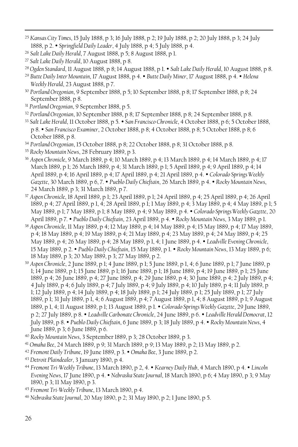- <sup>25</sup> *Kansas City Times*, 15 July 1888, p 3; 16 July 1888, p 2; 19 July 1888, p 2; 20 July 1888, p 3; 24 July 1888, p 2. *Springfield Daily Leader*, 4 July 1888, p 4; 5 July 1888, p 4.
- <sup>26</sup> *Salt Lake Daily Herald*, 7 August 1888, p 5; 8 August 1888, p 1.
- <sup>27</sup> *Salt Lake Daily Herald*, 10 August 1888, p 8.

- <sup>28</sup> *Ogden Standard*, 11 August 1888, p 8; 14 August 1888, p 1. *Salt Lake Daily Herald*, 10 August 1888, p 8.
- <sup>29</sup> *Butte Daily Inter Mountain*, 17 August 1888, p 4. *Butte Daily Miner*, 17 August 1888, p 4. *Helena Weekly Herald*, 23 August 1888, p 7.
- <sup>30</sup> *Portland Oregonian*, 9 September 1888, p 5; 10 September 1888, p 8; 17 September 1888, p 8; 24 September 1888, p 8.
- <sup>31</sup> *Portland Oregonian*, 9 September 1888, p 5.
- <sup>32</sup> *Portland Oregonian*, 10 September 1888, p 8; 17 September 1888, p 8; 24 September 1888, p 8.
- <sup>33</sup> *Salt Lake Herald*, 11 October 1888, p 5. *San Francisco Chronicle*, 4 October 1888, p 6; 5 October 1888, p 8. *San Francisco Examiner*, 2 October 1888, p 8; 4 October 1888, p 8; 5 October 1888, p 8; 6 October 1888, p 8.
- <sup>34</sup> *Portland Oregonian*, 15 October 1888, p 8; 22 October 1888, p 8; 31 October 1888, p 8.
- <sup>35</sup> *Rocky Mountain News*, 28 February 1889, p 3.
- <sup>36</sup> *Aspen Chronicle*, 9 March 1889, p 4; 10 March 1889, p 4; 13 March 1889, p 4; 14 March 1889, p 4; 17 March 1889, p 1; 26 March 1889, p 4; 31 March 1889, p 1; 5 April 1889, p 4; 9 April 1889, p 4; 14 April 1889, p 4; 16 April 1889, p 4; 17 April 1889, p 4; 21 April 1889, p 4. *Colorado Springs Weekly Gazette*, 30 March 1889, p 6, 7. *Pueblo Daily Chieftain*, 26 March 1889, p 4. *Rocky Mountain News*, 24 March 1889, p 3; 31 March 1889, p 7.
- <sup>37</sup> *Aspen Chronicle*, 18 April 1889, p 1; 23 April 1889, p 1; 24 April 1889, p 4; 25 April 1889, p 4; 26 April 1889, p 4; 27 April 1889, p 1, 4; 28 April 1889, p 1; 1 May 1889, p 4; 3 May 1889, p 4; 4 May 1889, p 1; 5 May 1889, p 1; 7 May 1889, p 1; 8 May 1889, p 4; 9 May 1889, p 4. *Colorado Springs Weekly Gazette*, 20 April 1889, p 7. *Pueblo Daily Chieftain*, 23 April 1889, p 4. *Rocky Mountain News*, 3 May 1889, p 1.
- <sup>38</sup> *Aspen Chronicle*, 11 May 1889, p 4; 12 May 1889, p 4; 14 May 1889, p 4; 15 May 1889, p 4; 17 May 1889, p 4; 18 May 1889, p 4; 19 May 1889, p 4; 21 May 1889, p 4; 23 May 1889, p 4; 24 May 1889, p 4; 25 May 1889, p 4; 26 May 1889, p 4; 28 May 1889, p 1, 4; 1 June 1889, p 4. *Leadville Evening Chronicle*, 15 May 1889, p 2. *Pueblo Daily Chieftain*, 15 May 1889, p 1. *Rocky Mountain News*, 13 May 1889, p 6; 18 May 1889, p 3; 20 May 1889, p 3; 27 May 1889, p 2.
- <sup>39</sup> *Aspen Chronicle*, 2 June 1889, p 1; 4 June 1889, p 1; 5 June 1889, p 1, 4; 6 June 1889, p 1; 7 June 1889, p 1; 14 June 1889, p 1; 15 June 1889, p 1; 16 June 1889, p 1; 18 June 1889, p 4; 19 June 1889, p 1; 25 June 1889, p 4; 26 June 1889, p 4; 27 June 1889, p 4; 29 June 1889, p 4; 30 June 1889, p 4; 2 July 1889, p 4; 4 July 1889, p 4; 6 July 1889, p 4; 7 July 1889, p 4; 9 July 1889, p 4; 10 July 1889, p 4; 11 July 1889, p 1; 12 July 1889, p 4; 14 July 1889, p 4; 18 July 1889, p 1; 24 July 1889, p 1; 25 July 1889, p 1; 27 July 1889, p 1; 31 July 1889, p 1, 4; 6 August 1889, p 4; 7 August 1889, p 1, 4; 8 August 1889, p 1; 9 August 1889, p 1, 4; 11 August 1889, p 1; 13 August 1889, p 1. *Colorado Springs Weekly Gazette*, 29 June 1889, p 2; 27 July 1889, p 8. *Leadville Carbonate Chronicle*, 24 June 1889, p 6. *Leadville Herald Democrat*, 12 July 1889, p 8. *Pueblo Daily Chieftain*, 6 June 1889, p 3; 18 July 1889, p 4. *Rocky Mountain News*, 4 June 1889, p 3; 6 June 1889, p 6.
- <sup>40</sup> *Rocky Mountain News*, 3 September 1889, p 3; 28 October 1889, p 3.
- <sup>41</sup> *Omaha Bee*, 24 March 1889, p 9; 31 March 1889, p 9; 13 May 1889, p 2; 13 May 1889, p 2.
- <sup>42</sup> *Fremont Daily Tribune*, 19 June 1889, p 3. *Omaha Bee*, 3 June 1889, p 2.
- <sup>43</sup> *Detroit Plaindealer*, 3 January 1890, p 4.
- <sup>44</sup> *Fremont Tri-Weekly Tribune*, 13 March 1890, p 2, 4. *Kearney Daily Hub*, 4 March 1890, p 4. *Lincoln Evening News*, 17 June 1890, p 4. *Nebraska State Journal*, 18 March 1890, p 6; 4 May 1890, p 3; 9 May 1890, p 3; 11 May 1890, p 3.
- <sup>45</sup> *Fremont Tri-Weekly Tribune*, 13 March 1890, p 4.
- <sup>46</sup> *Nebraska State Journal*, 20 May 1890, p 2; 31 May 1890, p 2; 1 June 1890, p 5.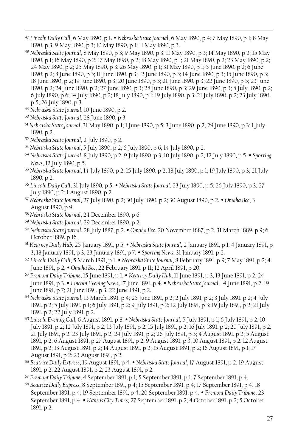- <sup>47</sup> *Lincoln Daily Call*, 6 May 1890, p 1. *Nebraska State Journal*, 6 May 1890, p 4; 7 May 1890, p 1; 8 May 1890, p 3; 9 May 1890, p 3; 10 May 1890, p 1; 11 May 1890, p 3.
- <sup>48</sup> *Nebraska State Journal*, 8 May 1890, p 3; 9 May 1890, p 3; 11 May 1890, p 3; 14 May 1890, p 2; 15 May 1890, p 1; 16 May 1890, p 2; 17 May 1890, p 2; 18 May 1890, p 1; 21 May 1890, p 2; 23 May 1890, p 2; 24 May 1890, p 2; 25 May 1890, p 3; 26 May 1890, p 1; 31 May 1890, p 1; 5 June 1890, p 2; 6 June 1890, p 2; 8 June 1890, p 3; 11 June 1890, p 3; 12 June 1890, p 3; 14 June 1890, p 3; 15 June 1890, p 3; 18 June 1890, p 2; 19 June 1890, p 3; 20 June 1890, p 3; 21 June 1890, p 3; 22 June 1890, p 5; 23 June 1890, p 2; 24 June 1890, p 2; 27 June 1890, p 3; 28 June 1890, p 3; 29 June 1890, p 3; 5 July 1890, p 2; 6 July 1890, p 6; 14 July 1890, p 2; 18 July 1890, p 1; 19 July 1890, p 3; 21 July 1890, p 2; 23 July 1890, p 5; 26 July 1890, p 3.
- <sup>49</sup> *Nebraska State Journal*, 10 June 1890, p 2.

- <sup>50</sup> *Nebraska State Journal*, 28 June 1890, p 3.
- <sup>51</sup> *Nebraska State Journal*, 31 May 1890, p 1; 1 June 1890, p 5; 3 June 1890, p 2; 29 June 1890, p 3; 1 July 1890, p 2.
- <sup>52</sup> *Nebraska State Journal*, 2 July 1890, p 2.
- <sup>53</sup> *Nebraska State Journal*, 5 July 1890, p 2; 6 July 1890, p 6; 14 July 1890, p 2.
- <sup>54</sup> *Nebraska State Journal*, 8 July 1890, p 2; 9 July 1890, p 3; 10 July 1890, p 2; 12 July 1890, p 5. *Sporting News*, 12 July 1890, p 5.
- <sup>55</sup> *Nebraska State Journal*, 14 July 1890, p 2; 15 July 1890, p 2; 18 July 1890, p 1; 19 July 1890, p 3; 21 July 1890, p 2.
- <sup>56</sup> *Lincoln Daily Call*, 31 July 1890, p 5. *Nebraska State Journal*, 23 July 1890, p 5; 26 July 1890, p 3; 27 July 1890, p 2; 1 August 1890, p 2.
- <sup>57</sup> *Nebraska State Journal*, 27 July 1890, p 2; 30 July 1890, p 2; 30 August 1890, p 2. *Omaha Bee*, 3 August 1890, p 9.
- <sup>58</sup> *Nebraska State Journal*, 24 December 1890, p 6.
- <sup>59</sup> *Nebraska State Journal*, 29 December 1890, p 2.
- <sup>60</sup> *Nebraska State Journal*, 28 July 1887, p 2. *Omaha Bee*, 20 November 1887, p 2, 31 March 1889, p 9; 6 October 1889, p 16.
- <sup>61</sup> *Kearney Daily Hub*, 25 January 1891, p 5. *Nebraska State Journal*, 2 January 1891, p 1; 4 January 1891, p 3; 18 January 1891, p 3; 23 January 1891, p 7. *Sporting News*, 31 January 1891, p 2.
- <sup>62</sup> *Lincoln Daily Call*, 5 March 1891, p 1. *Nebraska State Journal*, 8 February 1891, p 9; 7 May 1891, p 2; 4 June 1891, p 2. *Omaha Bee*, 22 February 1891, p 11; 12 April 1891, p 20.
- <sup>63</sup> *Fremont Daily Tribune*, 15 June 1891, p 1. *Kearney Daily Hub*, 11 June 1891, p 3, 13 June 1891, p 2; 24 June 1891, p 3. *Lincoln Evening News*, 17 June 1891, p 4. *Nebraska State Journal*, 14 June 1891, p 2; 19 June 1891, p 7; 21 June 1891, p 3; 22 June 1891, p 2.
- <sup>64</sup> *Nebraska State Journal*, 13 March 1891, p 4; 25 June 1891, p 2; 2 July 1891, p 2; 3 July 1891, p 2; 4 July 1891, p 2; 5 July 1891, p 1; 6 July 1891, p 2; 9 July 1891, p 2; 12 July 1891, p 3; 19 July 1891, p 2; 21 July 1891, p 2; 22 July 1891, p 2.
- <sup>65</sup> *Lincoln Evening Call*, 6 August 1891, p 8. *Nebraska State Journal*, 5 July 1891, p 1; 6 July 1891, p 2; 10 July 1891, p 2; 12 July 1891, p 2; 13 July 1891, p 2; 15 July 1891, p 2; 16 July 1891, p 2; 20 July 1891, p 2; 21 July 1891, p 2; 23 July 1891, p 2; 24 July 1891, p 2; 26 July 1891, p 3; 4 August 1891, p 2; 5 August 1891, p 2; 6 August 1891, p 27 August 1891, p 2; 9 August 1891, p 3; 10 August 1891, p 2; 12 August 1891, p 2; 13 August 1891, p 2; 14 August 1891, p 2; 15 August 1891, p 2; 16 August 1891, p 1; 17 August 1891, p 2; 23 August 1891, p 2.
- <sup>66</sup> *Beatrice Daily Express*, 19 August 1891, p 4. *Nebraska State Journal*, 17 August 1891, p 2; 19 August 1891, p 2; 22 August 1891, p 2; 23 August 1891, p 2.
- <sup>67</sup> *Fremont Daily Tribune*, 4 September 1891, p 1; 5 September 1891, p 1; 7 September 1891, p 4.
- <sup>68</sup> *Beatrice Daily Express*, 8 September 1891, p 4; 15 September 1891, p 4; 17 September 1891, p 4; 18 September 1891, p 4; 19 September 1891, p 4; 20 September 1891, p 4. *Fremont Daily Tribune*, 23 September 1891, p 4. *Kansas City Times*, 27 September 1891, p 2; 4 October 1891, p 2; 5 October 1891, p 2.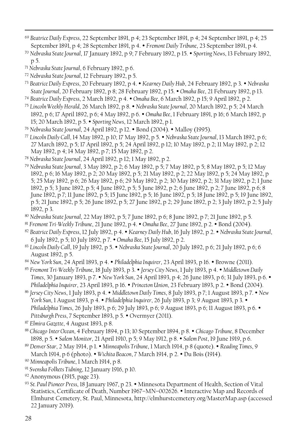- <sup>69</sup> *Beatrice Daily Express*, 22 September 1891, p 4; 23 September 1891, p 4; 24 September 1891, p 4; 25 September 1891, p 4; 28 September 1891, p 4. *Fremont Daily Tribune*, 23 September 1891, p 4.
- <sup>70</sup> *Nebraska State Journal*, 17 January 1892, p 9; 7 February 1892, p 15. *Sporting News*, 13 February 1892, p 5.
- <sup>71</sup> *Nebraska State Journal*, 6 February 1892, p 6.

- <sup>72</sup> *Nebraska State Journal*, 12 February 1892, p 5.
- <sup>73</sup> *Beatrice Daily Express*, 20 February 1892, p 4. *Kearney Daily Hub*, 24 February 1892, p 3. *Nebraska State Journal*, 20 February 1892, p 8; 28 February 1892, p 15. *Omaha Bee*, 21 February 1892, p 13.
- <sup>74</sup> *Beatrice Daily Express*, 2 March 1892, p 4. *Omaha Bee*, 6 March 1892, p 15; 9 April 1892, p 2.
- <sup>75</sup> *Lincoln Weekly Herald*, 26 March 1892, p 8. *Nebraska State Journal*, 20 March 1892, p 5; 24 March 1892, p 6; 17 April 1892, p 6; 4 May 1892, p 6. *Omaha Bee*, 1 February 1891, p 16; 6 March 1892, p 15; 20 March 1892, p 5. *Sporting News*, 12 March 1892, p 1.
- <sup>76</sup> *Nebraska State Journal*, 24 April 1892, p 12. Bond (2004). Malloy (1995).
- <sup>77</sup> *Lincoln Daily Call*, 14 May 1892, p 10; 17 May 1892, p 5. *Nebraska State Journal*, 13 March 1892, p 6; 27 March 1892, p 5; 17 April 1892, p 5; 24 April 1892, p 12; 10 May 1892, p 2; 11 May 1892, p 2; 12 May 1892, p 4; 14 May 1892, p 7; 15 May 1892, p 2.
- <sup>78</sup> *Nebraska State Journal*, 24 April 1892, p 12; 1 May 1892, p 2.
- <sup>79</sup> *Nebraska State Journal*, 3 May 1892, p 2; 6 May 1892, p 5; 7 May 1892, p 5; 8 May 1892, p 5; 12 May 1892, p 6; 16 May 1892, p 2; 20 May 1892, p 5; 21 May 1892, p 2; 22 May 1892, p 5; 24 May 1892, p 5; 25 May 1892, p 6; 26 May 1892, p 6; 29 May 1892, p 2; 30 May 1892, p 2; 31 May 1892, p 2; 1 June 1892, p 5; 3 June 1892, p 5; 4 June 1892, p 5; 5 June 1892, p 2; 6 June 1892, p 2; 7 June 1892, p 6; 8 June 1892, p 7; 11 June 1892, p 5; 15 June 1892, p 5; 16 June 1892, p 5; 18 June 1892, p 5; 19 June 1892, p 5; 21 June 1892, p 5; 26 June 1892, p 5; 27 June 1892, p 2; 29 June 1892, p 2; 3 July 1892, p 2; 5 July 1892, p 3.
- <sup>80</sup> *Nebraska State Journal*, 22 May 1892, p 5; 7 June 1892, p 6; 8 June 1892, p 7; 21 June 1892, p 5.
- <sup>81</sup> *Fremont Tri-Weekly Tribune*, 21 June 1892, p 4. *Omaha Bee*, 27 June 1892, p 2. Bond (2004).
- <sup>82</sup> *Beatrice Daily Express*, 12 July 1892, p 4. *Kearney Daily Hub*, 16 July 1892, p 2. *Nebraska State Journal*, 6 July 1892, p 5; 10 July 1892, p 7. *Omaha Bee*, 15 July 1892, p 2.
- <sup>83</sup> *Lincoln Daily Call*, 19 July 1892, p 5. *Nebraska State Journal*, 20 July 1892, p 6; 21 July 1892, p 6; 6 August 1892, p 5.
- 84 *New York Sun*, 24 April 1893, p 4. *Philadelphia Inquirer*, 23 April 1893, p 16. Browne (2011).
- <sup>85</sup> *Fremont Tri-Weekly Tribune*, 18 July 1893, p 3. *Jersey City News*, 1 July 1893, p 4. *Middletown Daily Times*, 30 January 1893, p 7. *New York Sun*, 24 April 1893, p 4; 26 June 1893, p 6; 31 July 1893, p 6. Philadelphia Inquirer, 23 April 1893, p 16. *• Princeton Union*, 23 February 1893, p 2. *• Bond (2004)*.
- <sup>86</sup> *Jersey City News*, 1 July 1893, p 4. *Middletown Daily Times*, 8 July 1893, p 7; 1 August 1893, p 7. *New York Sun*, 1 August 1893, p 4. *Philadelphia Inquirer*, 26 July 1893, p 3; 9 August 1893, p 3. *Philadelphia Times*, 26 July 1893, p 6; 29 July 1893, p 6; 9 August 1893, p 6; 11 August 1893, p 6. Pittsburgh Press, 7 September 1893, p 5.  $\bullet$  Overmyer (2011).
- <sup>87</sup> *Elmira Gazette*, 4 August 1893, p 8.
- <sup>88</sup> *Chicago Inter Ocean*, 4 February 1894, p 13; 10 September 1894, p 8. *Chicago Tribune*, 8 December 1898, p 5. *Salem Monitor*, 21 April 1910, p 5; 9 May 1912, p 8. *Salem Post*, 19 June 1919, p 6.
- <sup>89</sup> *Denver Star*, 2 May 1914, p 1. *Minneapolis Tribune*, 1 March 1914, p 8 (quote). *Reading Times*, 9 March 1914, p 6 (photo). • *Wichita Beacon*, 7 March 1914, p 2. • Du Bois (1914).
- <sup>90</sup> *Minneapolis Tribune*, 1 March 1914, p 8.
- <sup>91</sup> *Svenska Folkets Tidning*, 12 January 1916, p 10.
- <sup>92</sup> Anonymous (1915, page 23).
- 93 St. Paul Pioneer Press, 18 January 1967, p 23.  $\bullet$  Minnesota Department of Health, Section of Vital Statistics, Certificate of Death, Number 1967-MN-002626. • Interactive Map and Records of Elmhurst Cemetery, St. Paul, Minnesota, http://elmhurstcemetery.org/MasterMap.asp (accessed 22 January 2019).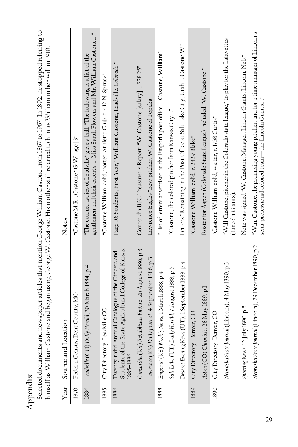| Appendix |                                                                                                                         | Selected documents and newspaper articles that mention George William Castone from 1867 to 1967. In 1892, he stopped referring to<br>himself as William Castone and began using George W. Castone. His mother still referred to him as William in her will in 1910. |
|----------|-------------------------------------------------------------------------------------------------------------------------|---------------------------------------------------------------------------------------------------------------------------------------------------------------------------------------------------------------------------------------------------------------------|
| Year     | Source and Location                                                                                                     | Notes                                                                                                                                                                                                                                                               |
| 1870     | Federal Census, Dent County, MO                                                                                         | "Castone M R"; Castone "G W [age] $3"$                                                                                                                                                                                                                              |
|          | 1884 Leadville (CO) Daily Herald, 30 March 1884, p 4                                                                    | "The colored ladies of Leadville" gave a ball. "The following is a list of the gentlemen and their escorts: … Miss Sarah Flowers and Mr. William Castone…"                                                                                                          |
| 1885     | City Directory, Leadville CO                                                                                            | "Castone William, col'd, porter, Athletic Club, r. 412 N. Spruce"                                                                                                                                                                                                   |
| 1886     | Twenty-third Annual Catalogue of the Officers and<br>Students of the State Agricultural College of Kansas,<br>1885-1886 | Page 10: Students, First Year, "William Castone, Leadville, Colorado."                                                                                                                                                                                              |
|          | Concordia (KS) Republican-Empire, 26 August 1886, p 3                                                                   | Concordia BBC Treasurer's Report: "W. Castone [salary]  \$28.25"                                                                                                                                                                                                    |
|          | Lawrence (KS) Daily Journal, 4 September 1886, p 3                                                                      | Lawrence Eagles "new pitcher, W. Castone of Topeka"                                                                                                                                                                                                                 |
| 1888     | Emporia (KS) Weekly News, 1 March 1888, p 4                                                                             | "List of letters advertised at the Emporia post office  Castone, William"                                                                                                                                                                                           |
|          | Salt Lake (UT) Daily Herald, 7 August 1888, p 5                                                                         | "Castone, the colored pitcher from Kansas City"                                                                                                                                                                                                                     |
|          | Deseret Evening News (UT), 1 September 1888, p 4                                                                        | Letters "Remaining in the Post Office at Salt Lake City, Utah  Castone W"                                                                                                                                                                                           |
| 1889     | City Directory, Denver, CO                                                                                              | "Castone William, col'd, r. 2829 Blake"                                                                                                                                                                                                                             |
|          | Aspen (CO) Chronicle, 28 May 1889, p 1                                                                                  | Roster for Aspen (Colorado State League) included "W. Castone."                                                                                                                                                                                                     |
| 1890     | City Directory, Denver, CO                                                                                              | "Castone William, col'd, waiter, r. 1758 Curtis"                                                                                                                                                                                                                    |
|          | Nebraska State Journal (Lincoln), 4 May 1890, p 3                                                                       | "Will Castone, pitcher in the Colorado state league," to play for the Lafayettes<br>(Lincoln Giants)                                                                                                                                                                |
|          | Sporting News, 12 July 1890, p 5                                                                                        | Note was signed "W. Castone, Manager, Lincoln Giants, Lincoln, Neb."                                                                                                                                                                                                |
|          | Nebraska State Journal (Lincoln), 29 December 1890, p 2                                                                 | "Wm. Castone, the promising young pitcher, and for a time manager of Lincoln's<br>semi-professional colored team—the Lincoln Giants"                                                                                                                                |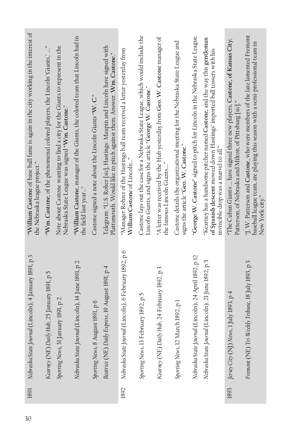| "William Castone of base ball fame is again in the city working in the interest of<br>the Nebraska league project." | "Wm. Castone, of the phenomenal colored players, the Lincoln 'Giants,' " | Note about Castone wanting to find a city for the Giants to represent in the Nebraska State League was signed "Wm. Castone." | "William Castone, manager of the Giants, the colored team that Lincoln had in<br>the field last year | Castone signed a note about the Lincoln Giants "W. C." | Telegram: "U.S. Roher [sic], Hastings: Maupin and Lincoln have signed with Plattsmouth. Would like to pitch against them. Answer. Wm. Castone." | "Manager Rohrer of the Hastings ball team received a letter yesterday from William Castone of Lincoln" | Castone lays out the case for a Nebraska State League, which would include the Lincoln Giants, and signs the article "George W. Castone." | "A letter was received by the Hub yesterday from Geo. W. Castone manager of the famous Lincoln Giants" | Castone details the organizational meeting for the Nebraska State League and<br>signs the article "Geo. W. Castone." | "George W. Castone" signed to pitch for Lincoln in the Nebraska State League. | "Kearney has a handsome pitcher named Castone, and the way this gentleman<br>of Spanish descent mowed down Hastings' imported ball tossers with his<br>invincible drop was a marvel to all." | "The Cuban Giants  have signed three new players, Castone, of Kansas City;<br>Patterson, of Nebraska and Milton, of Pittsburg [sic] | "J. W. Patterson and Castone, who were members of the late lamented Fremont baseball league team, are playing this season with a semi-professional team in<br>New York city." |
|---------------------------------------------------------------------------------------------------------------------|--------------------------------------------------------------------------|------------------------------------------------------------------------------------------------------------------------------|------------------------------------------------------------------------------------------------------|--------------------------------------------------------|-------------------------------------------------------------------------------------------------------------------------------------------------|--------------------------------------------------------------------------------------------------------|-------------------------------------------------------------------------------------------------------------------------------------------|--------------------------------------------------------------------------------------------------------|----------------------------------------------------------------------------------------------------------------------|-------------------------------------------------------------------------------|----------------------------------------------------------------------------------------------------------------------------------------------------------------------------------------------|-------------------------------------------------------------------------------------------------------------------------------------|-------------------------------------------------------------------------------------------------------------------------------------------------------------------------------|
| Nebraska State Journal (Lincoln), 4 January 1891, p 3                                                               | Kearney (NE) Daily Hub, 25 January 1891, p 5                             | Sporting News, 31 January 1891, p 2                                                                                          | Nebraska State Journal (Lincoln), 14 June 1891, p 2                                                  | Sporting News, 8 August 1891, p 6                      | Beatrice (NE) Daily Express, 19 August 1891, p 4                                                                                                | Nebraska State Journal (Lincoln), 6 February 1892, p 6                                                 | Sporting News, 13 February 1892, p 5                                                                                                      | Kearney (NE) Daily Hub, 24 February 1892, p 3                                                          | March 1892, p 1<br>Sporting News, 12                                                                                 | Nebraska State Journal (Lincoln), 24 April 1892, p 12                         | Nebraska State Journal (Lincoln), 21 June 1892, p 5                                                                                                                                          | Jersey City (NJ) News, 1 July 1893, p 4                                                                                             | Fremont (NE) Tri-Weekly Tribune, 18 July 1893, p 3                                                                                                                            |
| 1891                                                                                                                |                                                                          |                                                                                                                              |                                                                                                      |                                                        |                                                                                                                                                 | 1892                                                                                                   |                                                                                                                                           |                                                                                                        |                                                                                                                      |                                                                               |                                                                                                                                                                                              | 1893                                                                                                                                |                                                                                                                                                                               |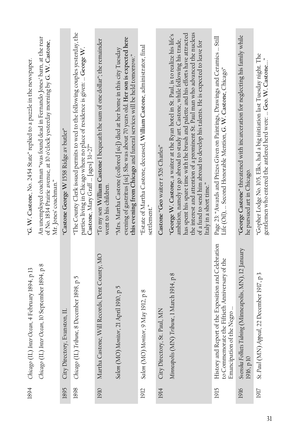| 1894 | Chicago (IL) Inter Ocean, 4 February 1894, p 13                                                                                     | "G. W. Castone, No. 2454 State" replied to a puzzle in the newspaper.                                                                                                                                                                                                                                                                                                                                                                                           |
|------|-------------------------------------------------------------------------------------------------------------------------------------|-----------------------------------------------------------------------------------------------------------------------------------------------------------------------------------------------------------------------------------------------------------------------------------------------------------------------------------------------------------------------------------------------------------------------------------------------------------------|
|      | Chicago (IL) Inter Ocean, 10 September 1894, p 8                                                                                    | An unemployed coachman "was found dead in Fernando Jones' barn, at the rear<br>of No. 1834 Prairie avenue, at 10 o'clock yesterday morning by G. W. Castone,<br>Mr. Jones' coachman."                                                                                                                                                                                                                                                                           |
| 1895 | City Directory, Evanston, IL                                                                                                        | "Castone George W 1558 Ridge av butler"                                                                                                                                                                                                                                                                                                                                                                                                                         |
| 1898 | Chicago (IL) Tribune, 8 December 1898, p 5                                                                                          | "The County Clerk issued permits to wed to the following couples yesterday, the<br>parties living in Chicago where no place of residence is given:  George W<br>Castone, Mary Graff  [ages] 31–27"                                                                                                                                                                                                                                                              |
| 1910 | Martha Castone, Will Records, Dent County, MO                                                                                       | "To my son William Castone I bequeath the sum of one dollar"; the remainder<br>went to his children.                                                                                                                                                                                                                                                                                                                                                            |
|      | Salem (MO) Monitor, 21 April 1910, p 5                                                                                              | evening of gastritus [sic]. She was about 70 years old. Her son is expected here<br>"Mrs. Martha Castone (collored [sic]) died at her home in this city Tuesday<br>this evening from Chicago and funeral services will be held tomorrow."                                                                                                                                                                                                                       |
| 1912 | Salem (MO) Monitor, 9 May 1912, p 8                                                                                                 | "Estate of Martha Castone, deceased, William Castone, administrator, final<br>settlement."                                                                                                                                                                                                                                                                                                                                                                      |
| 1914 | City Directory, St. Paul, MN                                                                                                        | Castone "Geo waiter r 526 Charles"                                                                                                                                                                                                                                                                                                                                                                                                                              |
|      | Minneapolis (MN) Tribune, 1 March 1914, p 8                                                                                         | the interest and attention of a prominent St. Paul man who advanced the nucleus<br>has spent his spare time with the brush and palette and his efforts have attracted<br>"George W. Castone, a waiter at the Ryan hotel in St. Paul, is to realize his life's<br>ambition, namely to go abroad to study art. Castone, while following his trade,<br>of a fund to send him abroad to develop his talents. He is expected to leave for<br>Italy in a short time." |
| 1915 | History and Report of the Exposition and Celebration<br>to Commemorate the Fiftieth Anniversary of the<br>Emancipation of the Negro | Page 23: "Awards and Prizes Given on Paintings, Drawings and Ceramics  Still<br>Life (Oil),  Second Honorable Mention, G. W. Castone, Chicago"                                                                                                                                                                                                                                                                                                                  |
| 1916 | Svenska Folkets Tidning (Minneapolis, MN), 12 January<br>1916, p 10                                                                 | "George Castone" threatened with incarceration for neglecting his family while<br>he pursued art in Chicago.                                                                                                                                                                                                                                                                                                                                                    |
| 1917 | St. Paul (MN) Appeal, 22 December 1917, p 3                                                                                         | "Gopher Lodge No. 105, Elks, had a big initiation last Tuesday night. The<br>gentlemen who entered the antlered herd were:  Geo. W. Castone                                                                                                                                                                                                                                                                                                                     |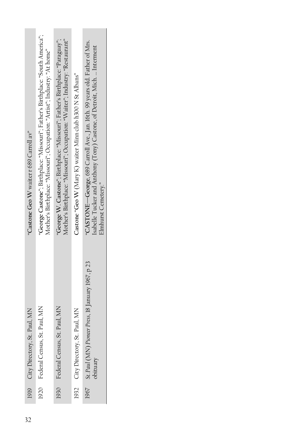| "Castone Geo W waiter r 689 Carroll av" | 'George Castone"; Birthplace: "Missouri"; Father's Birthplace: "South America";<br>Mother's Birthplace: "Missouri"; Occupation: "Artist"; Industry: "At home" | "George W. Castone"; Birthplace: "Missouri"; Father's Birthplace: "Paraguay";<br>Mother's Birthplace: "Missouri"; Occupation: "Waiter"; Industry: "Restaurant" | Castone "Geo W (Mary K) waiter Minn club h300 N St Albans" | "CASTONE—George, 689 Carroll Ave., Jan. 16th. 99 years old. Father of Mrs.<br>Isabelle Tucker and Anthony (Tony) Castone, of Detroit, Mich.  Interment<br>Elmhurst Cemetery." |  |
|-----------------------------------------|---------------------------------------------------------------------------------------------------------------------------------------------------------------|----------------------------------------------------------------------------------------------------------------------------------------------------------------|------------------------------------------------------------|-------------------------------------------------------------------------------------------------------------------------------------------------------------------------------|--|
| 1919 City Directory, St. Paul, MN       | St. Paul, MN<br>1920 Federal Census,                                                                                                                          | St. Paul, MN<br>Federal Census,                                                                                                                                | 1932 City Directory, St. Paul, MN                          | 1967 St. Paul (MN) Pioneer Press, 18 January 1967, p 23<br>bituary                                                                                                            |  |
|                                         |                                                                                                                                                               | 1930                                                                                                                                                           |                                                            |                                                                                                                                                                               |  |